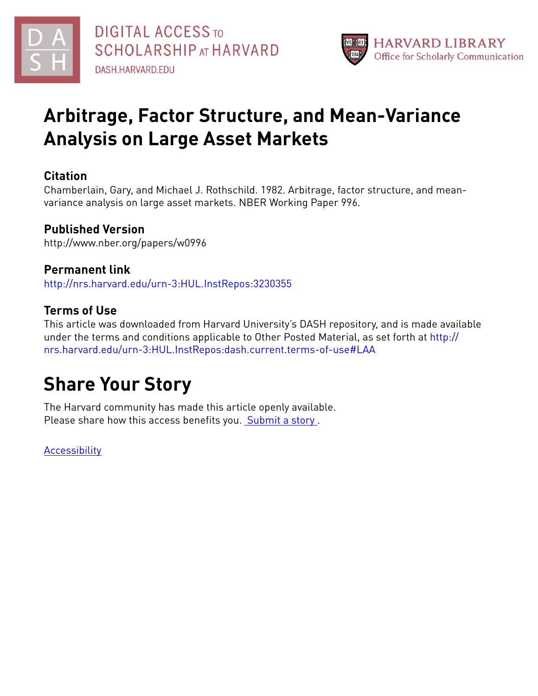



# **Arbitrage, Factor Structure, and Mean-Variance Analysis on Large Asset Markets**

### **Citation**

Chamberlain, Gary, and Michael J. Rothschild. 1982. Arbitrage, factor structure, and meanvariance analysis on large asset markets. NBER Working Paper 996.

## **Published Version**

http://www.nber.org/papers/w0996

# **Permanent link**

<http://nrs.harvard.edu/urn-3:HUL.InstRepos:3230355>

## **Terms of Use**

This article was downloaded from Harvard University's DASH repository, and is made available under the terms and conditions applicable to Other Posted Material, as set forth at [http://](http://nrs.harvard.edu/urn-3:HUL.InstRepos:dash.current.terms-of-use#LAA) [nrs.harvard.edu/urn-3:HUL.InstRepos:dash.current.terms-of-use#LAA](http://nrs.harvard.edu/urn-3:HUL.InstRepos:dash.current.terms-of-use#LAA)

# **Share Your Story**

The Harvard community has made this article openly available. Please share how this access benefits you. [Submit](http://osc.hul.harvard.edu/dash/open-access-feedback?handle=&title=Arbitrage,%20Factor%20Structure,%20and%20Mean-Variance%20Analysis%20on%20Large%20Asset%20Markets&community=1/1&collection=1/2&owningCollection1/2&harvardAuthors=361135b2cf13ec52371bf4bfaa27742c&departmentEconomics) a story.

**[Accessibility](https://dash.harvard.edu/pages/accessibility)**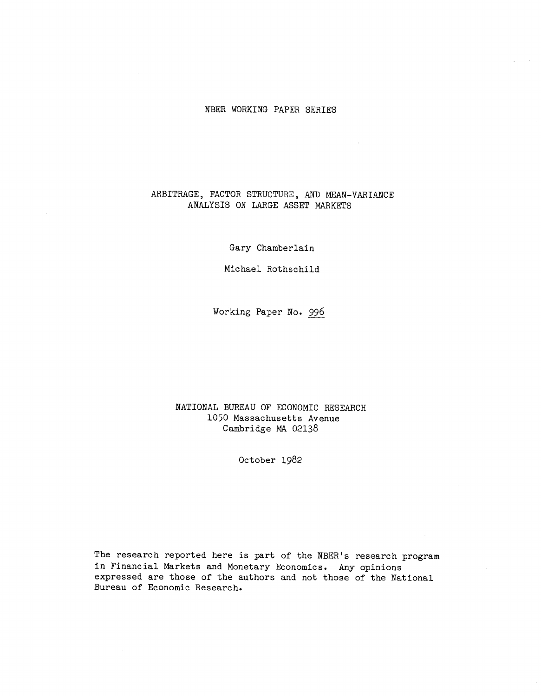### NBER WORKING PAPER SERIES

 $\mathcal{L}_{\mathrm{eff}}$ 

### ARBITRAGE, FACTOR STRUCTURE, AND MEAN-VARIANCE ANALYSIS ON LARGE ASSET MARKETS

Gary Chamberlain

Michael Rothschild

Working Paper No. 996

NATIONAL BUREAU OF ECONOMIC RESEARCH 1050 Massachusetts Avenue Cambridge MA 02138

October 1982

The research reported here is part of the NBER's research program in Financial Markets and Monetary Economics. Any opinions expressed are those of the authors and not those of the National Bureau of Economic Research.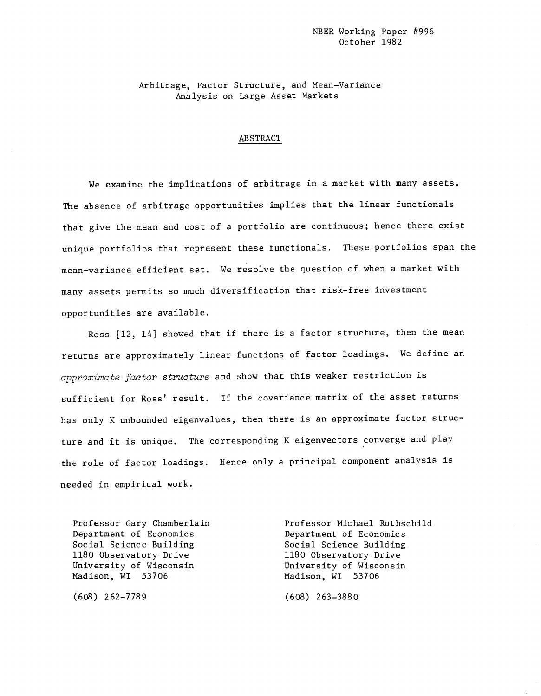Arbitrage, Factor Structure, and Mean—Variance Analysis on Large Asset Markets

#### ABSTRACT

We examine the implications of arbitrage in a market with many assets. The absence of arbitrage opportunities implies that the linear functionals that give the mean and cost of a portfolio are continuous; hence there exist unique portfolios that represent these functionals. These portfolios span the mean—variance efficient set. We resolve the question of when a market with many assets permits so much diversification that risk—free investment opportunities are available.

Ross [12, 14] showed that if there is a factor structure, then the mean returns are approximately linear functions of factor loadings. We define an approximate factor structure and show that this weaker restriction is sufficient for Ross' result. If the covariance matrix of the asset returns has only K unbounded eigenvalues, then there is an approximate factor structure and it is unique. The corresponding K eigenvectors converge and play the role of factor loadings. Hence only a principal component analysis is needed in empirical work.

Department of Economics Department of Economics Social Science Building Social Science Building 1180 Observatory Drive 1180 Observatory Drive<br>
University of Wisconsin 1180 University of Wisconsin University of Wisconsin<br>Madison, WI 53706

(608) 262—7789 (608) 263—3880

Professor Gary Chamberlain Professor Michael Rothschild Madison, WI 53706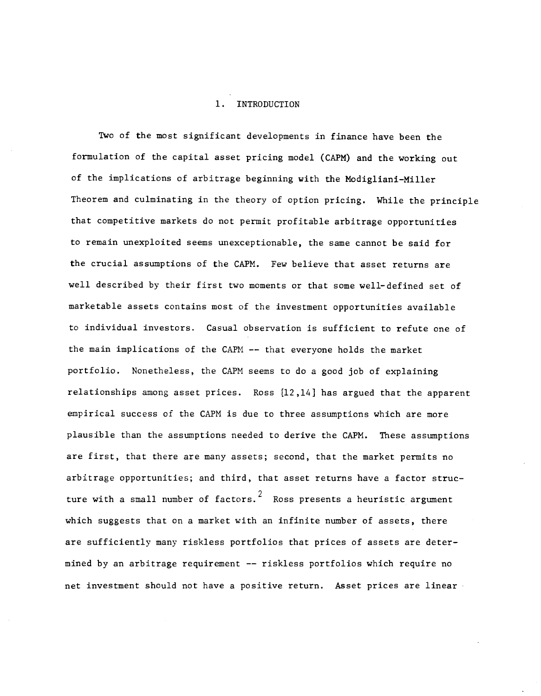#### 1. INTRODUCTION

Two of the most significant developments in finance have been the formulation of the capital asset pricing model (CAPM) and the working out of the implications of arbitrage beginning with the Modigliani—Miller Theorem and culminating in the theory of option pricing. While the principle that competitive markets do not permit profitable arbitrage opportunities to remain unexploited seems unexceptionable, the same cannot be said for the crucial assumptions of the CAPM. Few believe that asset returns are well described by their first two moments or that some well-defined set of marketable assets contains most of the investment opportunities available to individual investors. Casual observation is sufficient to refute one of the main implications of the CAPM —— that everyone holds the market portfolio. Nonetheless, the CAPM seems to do a good job of explaining relationships among asset prices. Ross [12,14] has argued that the apparent empirical success of the CAPM is due to three assumptions which are more plausible than the assumptions needed to derive the CAPM. These assumptions are first, that there are many assets; second, that the market permits no arbitrage opportunities; and third, that asset returns have a factor structure with a small number of factors.<sup>2</sup> Ross presents a heuristic argument which suggests that on a market with an infinite number of assets, there are sufficiently many riskiess portfolios that prices of assets are determined by an arbitrage requirement —— riskless portfolios which require no net investment should not have a positive return. Asset prices are linear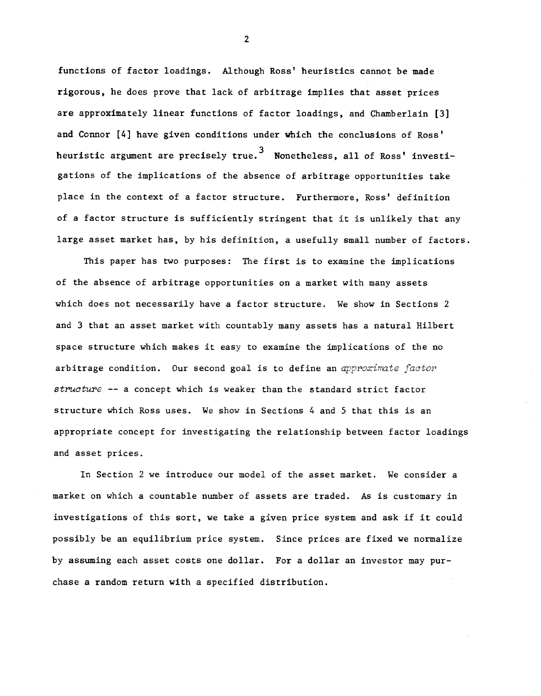functions of factor loadings. Although Ross' heuristics cannot be made rigorous, he does prove that lack of arbitrage implies that asset prices are approximately linear functions of factor loadings, and Chamberlain [3] and Connor [4] have given conditions under which the conclusions of Ross' heuristic argument are precisely true.<sup>3</sup> Nonetheless, all of Ross' investigations of the implications of the absence of arbitrage opportunities take place in the context of a factor structure. Furthermore, Ross' definition of a factor structure Is sufficiently stringent that it is unlikely that any large asset market has, by his definition, a usefully small number of factors.

This paper has two purposes: The first is to examine the implications of the absence of arbitrage opportunities on a market with many assets which does not necessarily have a factor structure. We show in Sections 2 and 3 that an asset market with countably many assets has a natural Hilbert space structure which makes it easy to examine the implications of the no arbitrage condition. Our second goal is to define an approximate factor structure -- a concept which is weaker than the standard strict factor structure which Ross uses. We show in Sections 4 and 5 that this is an appropriate concept for investigating the relationship between factor loadings and asset prices.

In Section 2 we introduce our model of the asset market. We consider a market on which a countable number of assets are traded. As is customary in investigations of this sort, we take a given price system and ask if it could possibly be an equilibrium price system. Since prices are fixed we normalize by assuming each asset costs one dollar. For a dollar an investor may purchase a random return with a specified distribution.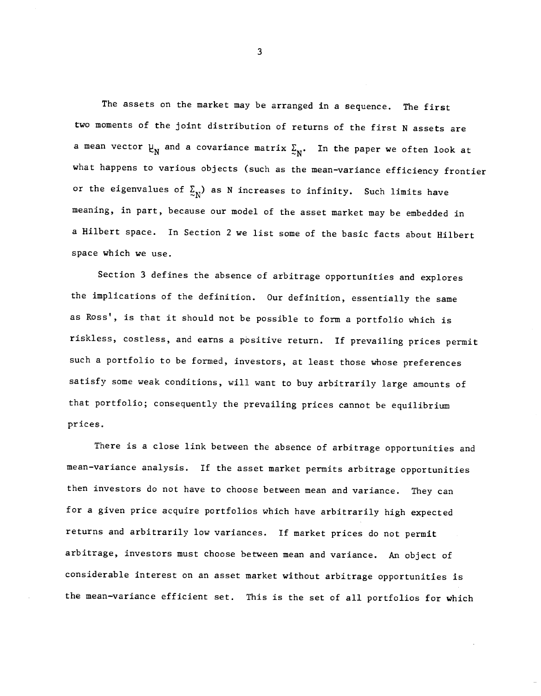The assets on the market may be arranged in a sequence. The first two moments of the joint distribution of returns of the first N assets are a mean vector  $\mu_N^{}$  and a covariance matrix  $\mathcal{Z}_N^{}$ . In the paper we often look at what happens to various objects (such as the mean-variance efficiency frontier or the eigenvalues of  $\Sigma_{N}$ ) as N increases to infinity. Such limits have meaning, in part, because our model of the asset market may be embedded in a Hilbert space. In Section 2 we list some of the basic facts about Hilbert space which we use.

Section 3 defines the absence of arbitrage opportunities and explores the implications of the definition. Our definition, essentially the same as Ross', is that it should not be possible to form a portfolio which is riskless, costless, and earns a positive return. If prevailing prices permit such a portfolio to be formed, investors, at least those whose preferences satisfy some weak conditions, will want to buy arbitrarily large anounts of that portfolio; consequently the prevailing prices cannot be equilibrium prices.

There is a close link between the absence of arbitrage opportunities and mean—variance analysis. If the asset market permits arbitrage opportunities then investors do not have to choose between mean and variance. They can for a given price acquire portfolios which have arbitrarily high expected returns and arbitrarily low variances. If market prices do not permit arbitrage, investors must choose between mean and variance. An object of considerable interest on an asset market without arbitrage opportunities is the mean—variance efficient set. This is the set of all portfolios for which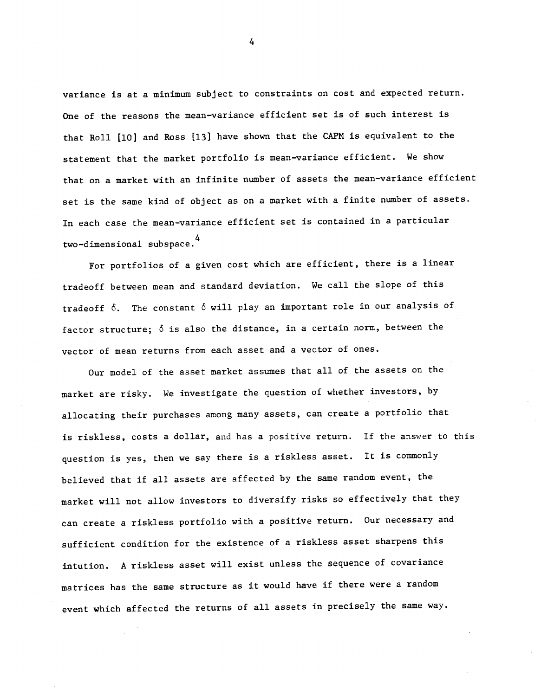variance is at a minimum subject to constraints on cost and expected return. One of the reasons the mean—variance efficient set is of such interest is that Roll [10] and Ross [13] have shown that the CAPM is equivalent to the statement that the market portfolio is mean—variance efficient. We show that on a market with an infinite number of assets the mean—variance efficient set is the same kind of object as on a market with a finite number of assets. In each case the mean-variance efficient set is contained in a particular two-dimensional subspace.<sup>4</sup>

For portfolios of a given cost which are efficient, there is a linear tradeoff between mean and standard deviation. We call the slope of this tradeoff 6. The constant 6 will play an important role in our analysis of factor structure; 6 is also the distance, in a certain norm, between the vector of mean returns from each asset and a vector of ones.

Our model of the asset market assumes that all of the assets on the market are risky. We investigate the question of whether investors, by allocating their purchases among many assets, can create a portfolio that is riskiess, costs a dollar, and has a positive return. If the answer to this question is yes, then we say there is a riskless asset. it is commonly believed that if all assets are affected by the same random event, the market will not allow investors to diversify risks so effectively that they can create a riskless portfolio with a positive return. Our necessary and sufficient condition for the existence of a riskless asset sharpens this intution. A riskless asset will exist unless the sequence of covariance matrices has the same structure as it would have if there were a random event which affected the returns of all assets in precisely the same way.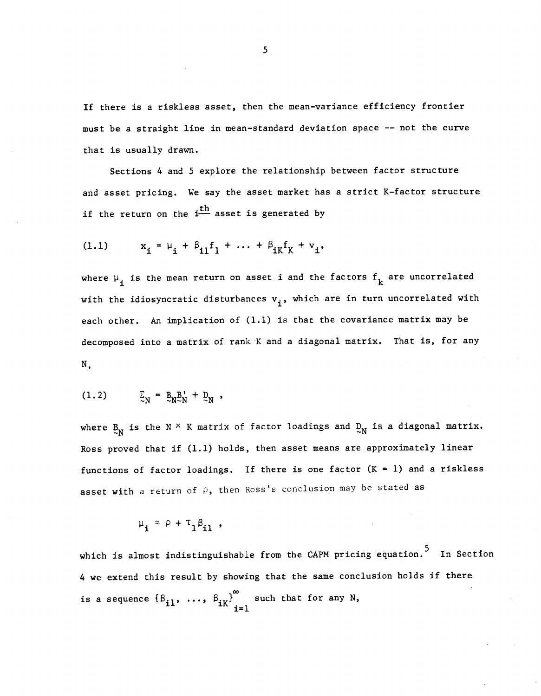If there is a riskless asset, then the mean—variance efficiency frontier must be a straight line in mean—standard deviation space -— not the curve that is usually drawn.

Sections 4 and 5 explore the relationship between factor structure and asset pricing. We say the asset market has a strict K—factor structure if the return on the  $i<sup>th</sup>$  asset is generated by

(1.1) 
$$
x_{i} = \mu_{i} + \beta_{i1}f_{1} + \dots + \beta_{iK}f_{K} + v_{i},
$$

where  $\mu_i$  is the mean return on asset i and the factors  $f_k$  are uncorrelated with the idiosyncratic disturbances  $v_i$ , which are in turn uncorrelated with each other. An implication of (1.1) is that the covariance matrix may be decomposed into a matrix of rank K and a diagonal matrix. That is, for any N,

$$
(1.2) \qquad \qquad \Sigma_N = \mathbb{E}_{N \sim N} \mathbb{E}_N' + \mathbb{E}_N ,
$$

where  $\mathbb{E}_N$  is the N  $\times$  K matrix of factor loadings and  $\mathbb{E}_N$  is a diagonal matrix. Ross proved that if (1.1) holds, then asset means are approximately linear functions of factor loadings. If there is one factor  $(K = 1)$  and a riskless asset with a return of  $\rho$ , then Ross's conclusion may be stated as

$$
\mu_{i} \approx \rho + \tau_{1} \beta_{i1} ,
$$

which is almost indistinguishable from the CAPM pricing equation.<sup>5</sup> In Section 4 we extend this result by showing that the same conclusion holds if there is a sequence  $\{\beta_{i1}, \ldots, \beta_{iK}\}_{i=1}^{\infty}$  such that for any N,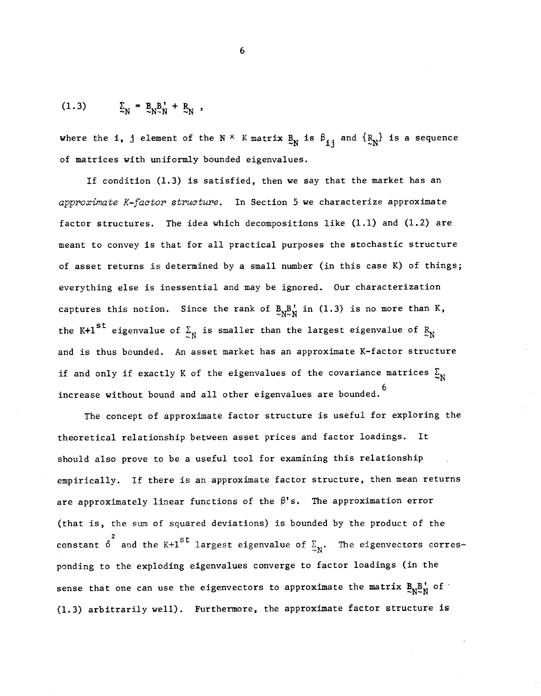$$
(1.3) \qquad \qquad \Sigma_{\rm N} = \, B_{\rm N}^{\rm B} + \, B_{\rm N} \ ,
$$

where the i, j element of the N  $\times$  K matrix  $B_N$  is  $\beta_{1i}$  and  $\{R_N\}$  is a sequence of matrices with uniformly bounded eigenvalues.

If condition (1.3) is satisfied, then we say that the market has an approximate K-factor structure. In Section 5 we characterize approximate factor structures. The idea which decompositions like (1.1) and (1.2) are meant to convey is that for all practical purposes the stochastic structure of asset returns is determined by a small number (in this case K) of things; everything else is inessential and may be ignored. Our characterization captures this notion. Since the rank of  $B_{N^2}B'$  in (1.3) is no more than K, the K+1<sup>st</sup> eigenvalue of  $\Sigma_N$  is smaller than the largest eigenvalue of  $R_N$ and is thus bounded. An asset market has an approximate K—factor structure if and only if exactly K of the eigenvalues of the covariance matrices  $\Sigma_{\text{N}}$ increase without bound and all other eigenvalues are bounded.<sup>6</sup>

The concept of approximate factor structure is useful for exploring the theoretical relationship between asset prices and factor loadings. It should also prove to be a useful tool for examining this relationship empirically. If there is an approximate factor structure, then mean returns are approximately linear functions of the  $\beta$ 's. The approximation error (that is, the sum of squared deviations) is bounded by the product of the constant  $\delta$  and the K+1<sup>st</sup> largest eigenvalue of  $\Sigma_N$ . The eigenvectors corresponding to the exploding eigenvalues converge to factor loadings (in the sense that one can use the eigenvectors to approximate the matrix  $B_N^B N_N^{\dagger}$  of  $\ddot{\theta}$ (1.3) arbitrarily well). Furthermore, the approximate factor structure is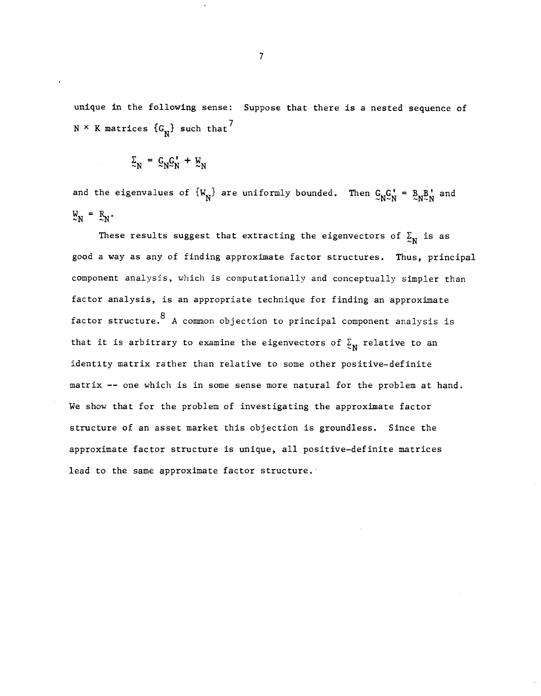unique in the following sense: Suppose that there is a nested sequence of  $N \times K$  matrices  $\{G_N\}$  such that<sup>7</sup>

$$
\Sigma_N = \mathcal{G}_N \mathcal{G}_N' + \mathcal{U}_N
$$

and the eigenvalues of  $\{W_N\}$  are uniformly bounded. Then  $C_NC_N' = B_N B_N'$  and  $\mathbf{W_N} = \mathbf{R_N}$ .

These results suggest that extracting the eigenvectors of  $\Sigma_N$  is as good a way as any of finding approximate factor structures. Thus, principal component analysis, which is computationally and conceptually simpler than factor analysis, is an appropriate technique for finding an approximate factor structure.8 A common objection to principal component analysis is that it is arbitrary to examine the eigenvectors of  $\Sigma_N$  relative to an identity matrix rather than relative to some other positive—definite matrix —— one which is in some sense more natural for the problem at hand. We show that for the problem of investigating the approximate factor structure of an asset market this objection is groundless. Since the approximate factor structure is unique, all positive—definite matrices lead to the same approximate factor structure.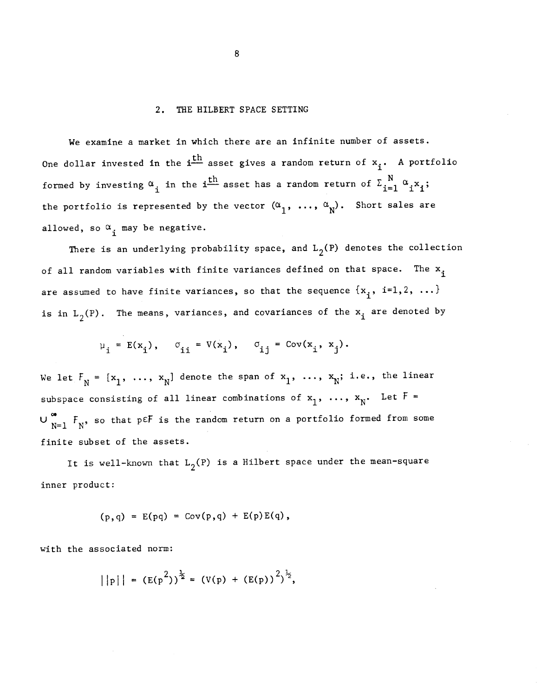#### 2. THE HILBERT SPACE SETTING

We examine a market in which there are an infinite number of assets. We examine a market in Which there are an infinite number of assets.<br>One dollar invested in the i $\frac{\text{th}}{\text{}}$  asset gives a random return of  $\text{x}_{\text{i}}$ . A portfolio formed by investing  $\alpha_{i}$  in the i<sup>th</sup> asset has a random return of  $\Sigma_{i=1}^{N}$   $\alpha_{i}x_{i}$ ; the portfolio is represented by the vector  $(\alpha_{_1},\ \ldots,\ \alpha_{_N}).$  Short sales are allowed, so  $\alpha_i$  may be negative.

There is an underlying probability space, and  $L_2(P)$  denotes the collection of all random variables with finite variances defined on that space. The  $x_i$ are assumed to have finite variances, so that the sequence  $\{x_{i}, i=1,2, \ldots\}$ is in  $L_2(P)$ . The means, variances, and covariances of the  $x_1$  are denoted by

$$
\mu_i = E(x_i), \quad \sigma_{ii} = V(x_i), \quad \sigma_{ij} = Cov(x_i, x_j).
$$

We let  $F_N = [x_1, ..., x_N]$  denote the span of  $x_1, ..., x_N$ ; i.e., the linear subspace consisting of all linear combinations of  $x_1$ , ...,  $x_N$ . Let  $F =$  $U_{N=1}^{\infty}$   $F_N$ , so that p $E$  is the random return on a portfolio formed from some finite subset of the assets.

It is well-known that  $L_2(P)$  is a Hilbert space under the mean-square inner product:

$$
(p,q) = E(pq) = Cov(p,q) + E(p)E(q)
$$
,

with the associated norm:

$$
||p|| = (E(p^{2}))^{\frac{1}{2}} = (V(p) + (E(p))^{2})^{\frac{1}{2}},
$$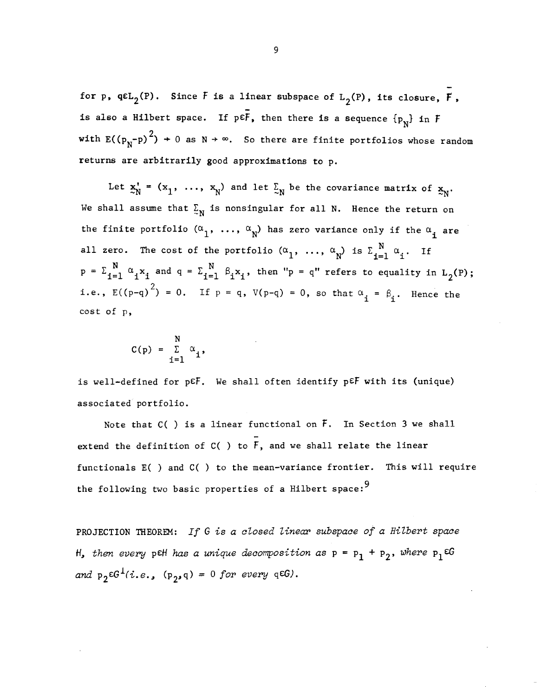for p,  $q\epsilon L_2(P)$ . Since F is a linear subspace of  $L_2(P)$ , its closure, F, is also a Hilbert space. If  $p \in \overline{F}$ , then there is a sequence  $\{p_N\}$  in  $F$ with  $E((p_N-p)^2) + 0$  as  $N \rightarrow \infty$ . So there are finite portfolios whose random returns are arbitrarily good approximations to p.

Let  $x'_N = (x_1, ..., x_N)$  and let  $\Sigma_N$  be the covariance matrix of  $x_N$ . We shall assume that  $\Sigma_N$  is nonsingular for all N. Hence the return on the finite portfolio  $(\alpha_1, \ldots, \alpha_N)$  has zero variance only if the  $\alpha_i$  are all zero. The cost of the portfolio  $(\alpha_1, \ldots, \alpha_N)$  is  $\Sigma_{i=1}^N \alpha_i$ . If  $p = \sum_{i=1}^{N} \alpha_i x_i$  and  $q = \sum_{i=1}^{N} \beta_i x_i$ , then "p = q" refers to equality in L<sub>2</sub>(P); i.e.,  $E((p-q)^2) = 0$ . If  $p = q$ ,  $V(p-q) = 0$ , so that  $\alpha_i = \beta_i$ . Hence the cost of p,

$$
C(p) = \sum_{i=1}^{N} \alpha_i,
$$

is well-defined for  $p \in F$ . We shall often identify  $p \in F$  with its (unique) associated portfolio.

Note that C( ) is a linear functional on  $\bar{F}$ . In Section 3 we shall extend the definition of  $C( )$  to  $\overline{F}$ , and we shall relate the linear functionals E( ) and C( ) to the mean—variance frontier. This will require the following two basic properties of a Hilbert space:<sup>9</sup>

PROJECTION THEOREM: If G is a closed linear subspace of a Hilbert space H, then every pEH has a unique decomposition as  $p = p_1 + p_2$ , where  $p_1 \in G$ and  $p_2 \in G^1(i.e., (p_2,q) = 0$  for every q $\in G$ ).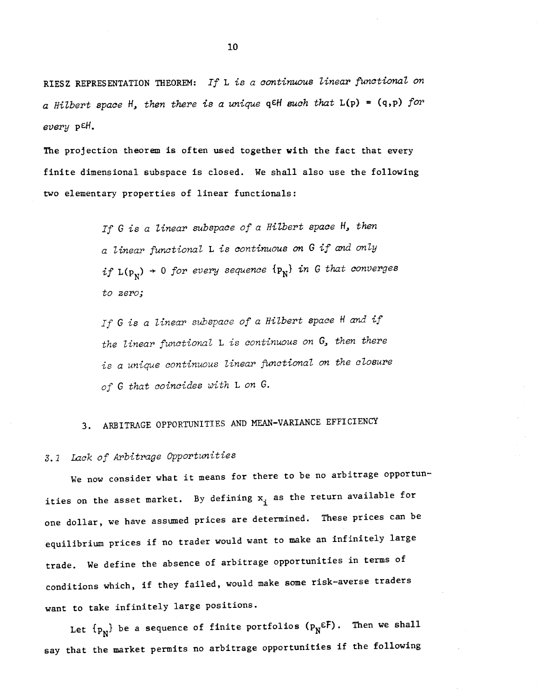RIESZ REPRESENTATION THEOREM: If L is a continuous linear functional on a Hilbert space H, then there is a unique q $\epsilon$ H such that  $L(p) = (q, p)$  for every p<sup>eH</sup>.

The projection theorem is often used together with the fact that every finite dimensional subspace is closed. We shall also use the following two elementary properties of linear functionals:

> If  $G$  is a linear subspace of a Hilbert space  $H_{\bullet}$  then <sup>a</sup> linear functional L is continuous on G if and only if  $L(p_N)$  + 0 for every sequence  $\{p_N\}$  in G that converges to zero;

If G is a linear subspace of a Hilbert space H and if the linear functional  $L$  is continuous on  $G$ , then there is a unique continuous linear functional on the closure of G that coincides with L on G.

### 3. ARBITRAGE OPPORTUNITIES AND MEAN-VARIANCE EFFICIENCY

### 3. 1 Lack of Arbitrage Opportunities

We now consider what it means for there to be no arbitrage opportunities on the asset market. By defining  $x_i$  as the return available for one dollar, we have assumed prices are determined. These prices can be equilibrium prices if no trader would want to make an infinitely large trade. We define the absence of arbitrage opportunities in terms of conditions which, if they failed, would make some risk—averse traders want to take infinitely large positions.

Let  $\{p_N\}$  be a sequence of finite portfolios  $(p_N \epsilon F)$ . Then we shall say that the market permits no arbitrage opportunities if the following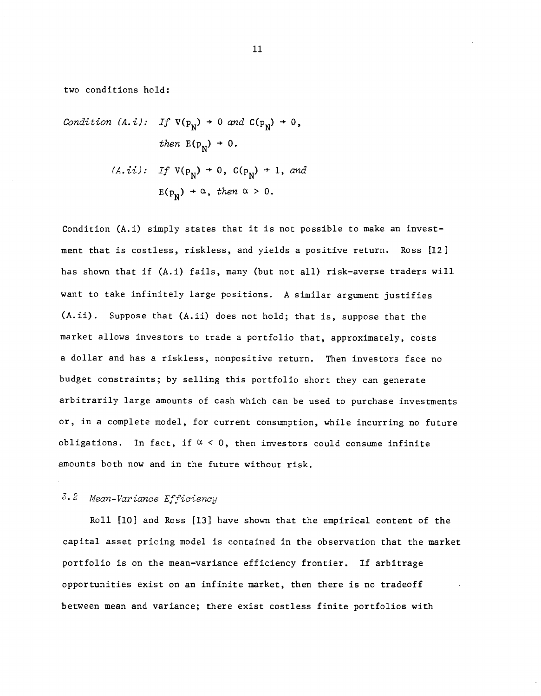two conditions hold:

Condition (A. *i*): If 
$$
V(p_N) \rightarrow 0
$$
 and  $C(p_N) \rightarrow 0$ ,  
\nthen  $E(p_N) \rightarrow 0$ .  
\n(A. *ii*): If  $V(p_N) \rightarrow 0$ ,  $C(p_N) \rightarrow 1$ , and  
\n $E(p_N) \rightarrow \alpha$ , then  $\alpha > 0$ .

Condition (A.i) simply states that it is not possible to make an investment that is costless, riskiess, and yields a positive return. Ross [12] has shown that if (A.i) fails, many (but not all) risk-averse traders will want to take infinitely large positions. A similar argument justifies (A.ii). Suppose that (A.ii) does not hold; that is, suppose that the market allows investors to trade a portfolio that, approximately, costs a dollar and has a riskiess, nonpositive return. Then investors face no budget constraints; by selling this portfolio short they can generate arbitrarily large amounts of cash which can be used to purchase investments or, in a complete model, for current consumption, while incurring no future obligations. In fact, if  $\alpha < 0$ , then investors could consume infinite amounts both now and in the future without risk.

### 2 Mean- Variance Efficiency

Roll [10) and Ross [13] have shown that the empirical content of the capital asset pricing model is contained in the observation that the market portfolio is on the mean—variance efficiency frontier. If arbitrage opportunities exist on an infinite market, then there is no tradeoff between mean and variance; there exist costless finite portfolios with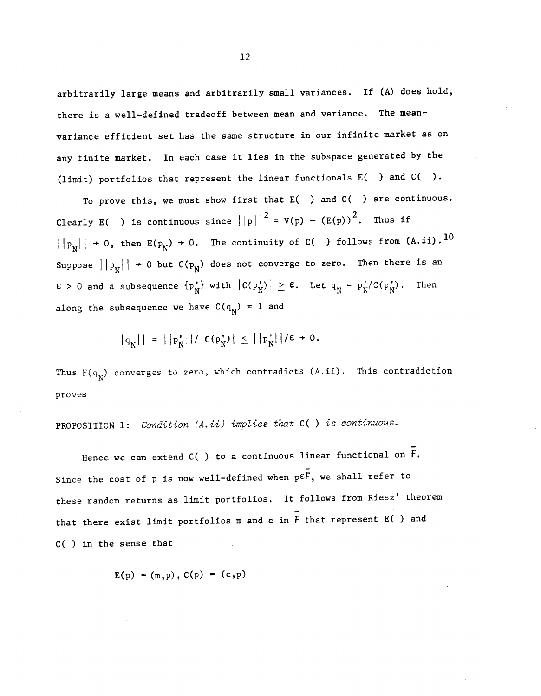arbitrarily large means and arbitrarily small variances. If (A) does hold, there is a well-defined tradeoff between mean and variance. The meanvariance efficient set has the same structure in our infinite market as on any finite market. In each case it lies in the subspace generated by the (limit) portfolios that represent the linear functionals E( ) and C( ).

To prove this, we must show first that E( ) and C( ) are continuous. Clearly E( ) is continuous since  $||p||^2 = V(p) + (E(p))^2$ . Thus if  $||P_N|| \rightarrow 0$ , then  $E(P_N) \rightarrow 0$ . The continuity of C( ) follows from  $(A.ii)$ . 10 Suppose  $||p_N|| \rightarrow 0$  but  $C(p_N)$  does not converge to zero. Then there is an  $\varepsilon > 0$  and a subsequence  $\{p_N^{\dagger}\}\$  with  $|C(p_N^{\dagger})| \geq \varepsilon$ . Let  $q_N^{\dagger} = p_N^{\dagger}/C(p_N^{\dagger})$ . Then along the subsequence we have  $C(q_N) = 1$  and

$$
||q_N|| = ||p_N|| / |C(p_N^*)| \le ||p_N^*|| / \epsilon + 0.
$$

Thus  $E(q_N)$  converges to zero, which contradicts  $(A.ii)$ . This contradiction proves

PROPOSITION 1: Condition (A.ii) implies that C( ) is continuous.

Hence we can extend C( ) to a continuous linear functional on  $\bar{F}$ . Since the cost of p is now well-defined when  $p \in \overline{F}$ , we shall refer to these random returns as limit portfolios. It follows from Riesz' theorem that there exist limit portfolios m and c in  $\overline{F}$  that represent E( ) and C( ) in the sense that

$$
E(p) = (m, p), C(p) = (c, p)
$$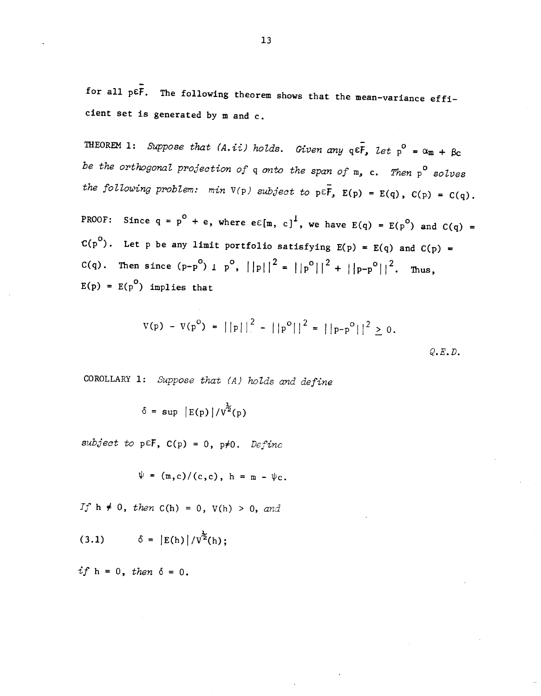for all  $p \varepsilon \bar{f}$ . The following theorem shows that the mean-variance efficient set is generated by  $m$  and  $c$ .

THEOREM 1: Suppose that (A.ii) holds. Given any  $q \in \overline{F}$ , let  $p^{\circ} = \alpha_{m} + \beta_{c}$ be the orthogonal projection of  $q$  onto the span of  $m$ , c. Then  $p^{\circ}$  solves the following problem: min  $V(p)$  subject to  $p \in \overline{F}$ ,  $E(p) = E(q)$ ,  $C(p) = C(q)$ .

PROOF: Since  $q = p^{0} + e$ , where  $e \in [m, c]^{1}$ , we have  $E(q) = E(p^{0})$  and  $C(q) =$  $C(p^{0})$ . Let p be any limit portfolio satisfying  $E(p) = E(q)$  and  $C(p) =$ C(q). Then since  $(p-p^0)$   $1 p^0$ ,  $||p||^2 = ||p^0||^2 + ||p-p^0||^2$ . Thus,  $E(p) = E(p^0)$  implies that

$$
V(p) - V(p^{\circ}) = ||p||^2 - ||p^{\circ}||^2 = ||p-p^{\circ}||^2 \ge 0.
$$

COROLLARY 1: Suppose that (A) holds and define

 $\delta = \sup |E(p)|/v^{\frac{1}{2}}(p)$ 

subject to p $E$ F, C(p) = 0, p $\neq$ 0. Define

$$
\psi = (m, c)/(c, c), h = m - \psi_c.
$$

If  $h \neq 0$ , then  $C(h) = 0$ ,  $V(h) > 0$ , and

(3.1) 
$$
\delta = |E(h)| / v^{\frac{1}{2}}(h);
$$

if  $h = 0$ , then  $\delta = 0$ .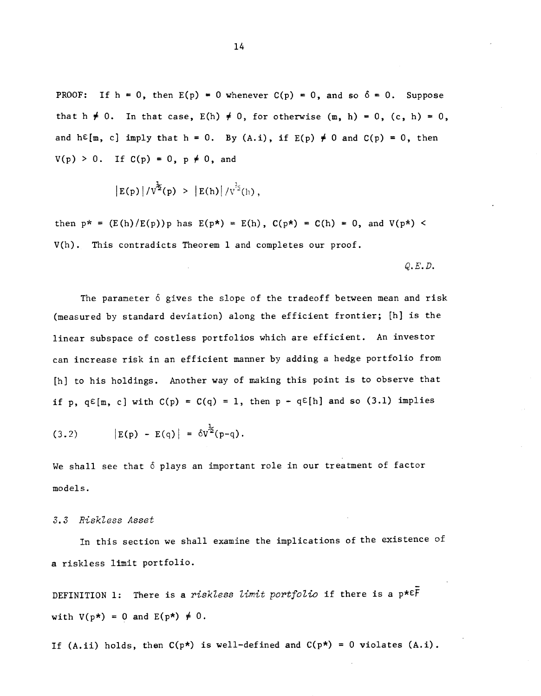PROOF: If  $h = 0$ , then  $E(p) = 0$  whenever  $C(p) = 0$ , and so  $\delta = 0$ . Suppose that h  $\neq$  0. In that case, E(h)  $\neq$  0, for otherwise (m, h) = 0, (c, h) = 0, and  $h \in [m, c]$  imply that  $h = 0$ . By  $(A.i)$ , if  $E(p) \neq 0$  and  $C(p) = 0$ , then  $V(p) > 0$ . If  $C(p) = 0$ ,  $p \neq 0$ , and

$$
|E(p)|/V^{\frac{1}{2}}(p) > |E(h)|/V^{\frac{1}{2}}(h)
$$
,

then  $p^* = (E(h)/E(p))p$  has  $E(p^*) = E(h)$ ,  $C(p^*) = C(h) = 0$ , and  $V(p^*) <$ V(h). This contradicts Theorem 1 and completes our proof.

 $Q.E.D.$ 

The parameter  $\delta$  gives the slope of the tradeoff between mean and risk (measured by standard deviation) along the efficient frontier; [hi is the linear subspace of costless portfolios which are efficient. An investor can increase risk in an efficient manner by adding a hedge portfolio from [h] to his holdings. Another way of making this point is to observe that if p,  $q \in [m, c]$  with  $C(p) = C(q) = 1$ , then  $p - q \in [h]$  and so (3.1) implies

(3.2) 
$$
|E(p) - E(q)| = \delta v^{\frac{1}{2}}(p-q).
$$

We shall see that  $\delta$  plays an important role in our treatment of factor models.

### 3.3 Riskiess Asset

In this section we shall examine the implications of the existence of a riskless limit portfolio.

DEFINITION 1: There is a riskless limit portfolio if there is a  $p* \in \overline{F}$ with  $V(p*) = 0$  and  $E(p*) \neq 0$ .

If (A.ii) holds, then  $C(p*)$  is well-defined and  $C(p*) = 0$  violates  $(A, i)$ .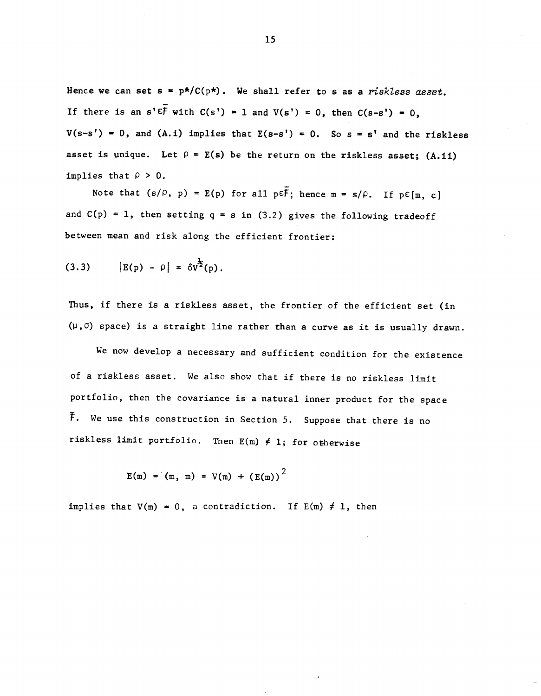Hence we can set  $s = p^*/C(p^*)$ . We shall refer to s as a riskless asset. If there is an  $s' \in \overline{F}$  with  $C(s') = 1$  and  $V(s') = 0$ , then  $C(s-s') = 0$ ,  $V(s-s') = 0$ , and (A.i) implies that  $E(s-s') = 0$ . So  $s = s'$  and the riskless asset is unique. Let  $\rho = E(s)$  be the return on the riskless asset; (A.ii) implies that  $\rho > 0$ .

Note that  $(s/\rho, p) = E(p)$  for all  $p \in \overline{F}$ ; hence  $m = s/\rho$ . If  $p \in [m, c]$ and  $C(p) = 1$ , then setting q = s in (3.2) gives the following tradeoff between mean and risk along the efficient frontier:

(3.3) 
$$
|E(p) - \rho| = \delta v^{\frac{1}{2}}(p).
$$

Thus, if there is a riskless asset, the frontier of the efficient set (in  $(\mu, \sigma)$  space) is a straight line rather than a curve as it is usually drawn.

We now develop a necessary and sufficient condition for the existence of a riskiess asset. We also show that if there is no riskiess limit portfolio, then the covariance is a natural inner product for the space F. We use this construction in Section 5. Suppose that there is no riskless limit portfolio. Then  $E(m) \neq 1$ ; for otherwise

$$
E(m) = (m, m) = V(m) + (E(m))^{2}
$$

implies that  $V(m) = 0$ , a contradiction. If  $E(m) \neq 1$ , then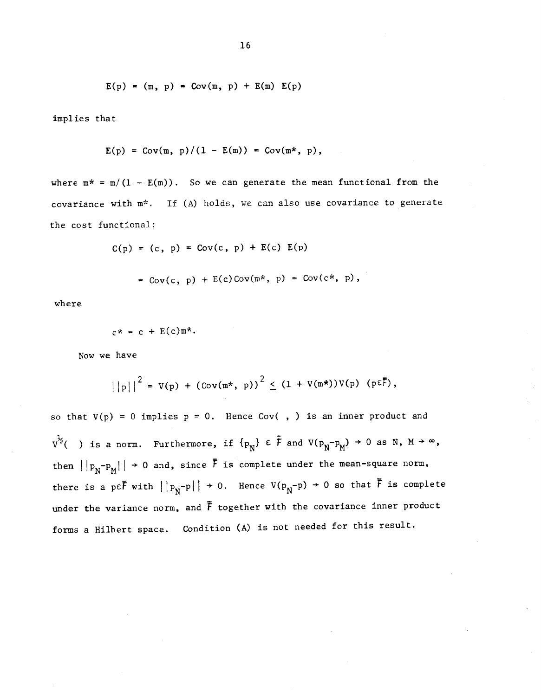$$
E(p) = (m, p) = Cov(m, p) + E(m) E(p)
$$

implies that

$$
E(p) = Cov(m, p)/(1 - E(m)) = Cov(m*, p),
$$

where  $m^* = m/(1 - E(m))$ . So we can generate the mean functional from the covariance with  $m^*$ . If (A) holds, we can also use covariance to generate the cost functional:

$$
C(p) = (c, p) = Cov(c, p) + E(c) E(p)
$$
  
= Cov(c, p) + E(c) Cov(m\*, p) = Cov(c\*, p),

$$
\quad \text{where} \quad
$$

$$
c^* = c + E(c)m^*.
$$

Now we have

$$
||p||^2 = V(p) + (Cov(m*, p))^2 \leq (1 + V(m*))V(p) (p \varepsilon \overline{F}),
$$

so that  $V(p) = 0$  implies  $p = 0$ . Hence Cov(, ) is an inner product and  $v^{\frac{1}{2}}($  ) is a norm. Furthermore, if  $\{p_N\} \in \bar{F}$  and  $V(p_N-p_M) \to 0$  as N,  $M \to \infty$ , then  $||p_N-p_M|| \to 0$  and, since  $\bar{F}$  is complete under the mean-square norm, there is a p $\epsilon \bar{F}$  with  $||p_N - p|| \to 0$ . Hence  $V(p_N - p) \to 0$  so that  $\bar{F}$  is complete under the variance norm, and  $\bar{F}$  together with the covariance inner product forms a Hilbert space. Condition (A) is not needed for this result.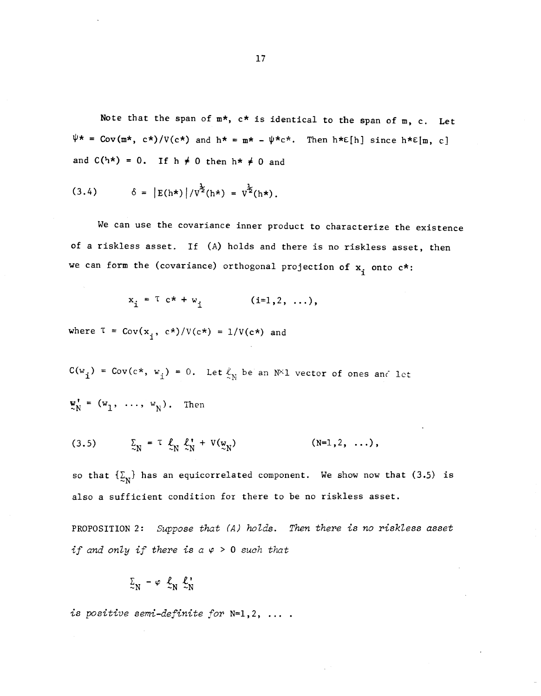Note that the span of  $m*$ ,  $c*$  is identical to the span of  $m$ ,  $c$ . Let  $\psi \star = \text{Cov}(\mathbb{m}^{\star}, c^{\star})/V(c^{\star})$  and  $h^{\star} = \mathbb{m}^{\star} - \psi^{\star}c^{\star}$ . Then  $h^{\star}\varepsilon[h]$  since  $h^{\star}\varepsilon[\mathbb{m}, c]$ and  $C(h*) = 0$ . If  $h \neq 0$  then  $h * \neq 0$  and

(3.4) 
$$
\delta = |E(h^*)|/v^2(h^*) = v^2(h^*).
$$

We can use the covariance inner product to characterize the existence of a riskiess asset. If (A) holds and there is no riskless asset, then we can form the (covariance) orthogonal projection of  $x_i$  onto  $c^*$ :

$$
x_i = T c^* + w_i
$$
 (i=1,2, ...),

where  $T = Cov(x_1, c*)/V(c*) = 1/V(c*)$  and

 $C(w_i) = Cov(c*, w_i) = 0$ . Let  $\ell_N$  be an N<sup>X</sup>1 vector of ones and let =  $(w_1, \ldots, w_N)$ . Then

$$
(3.5) \qquad \qquad \Sigma_N = \tau \, \mathcal{L}_N \, \mathcal{L}_N' + V(\mathcal{L}_N) \qquad \qquad (N=1,2,\ldots),
$$

so that  $\{\underline{\Sigma}_N\}$  has an equicorrelated component. We show now that (3.5) is also a sufficient condition for there to be no riskless asset.

PROPOSITION 2: Suppose that (A) holds. Then there is no riskless asset if and only if there is  $a \varphi > 0$  such that

$$
\Sigma_N - \varphi \quad \mathcal{L}_N \quad \mathcal{L}_N^*
$$

is positive semi-definite for N=1,2, ....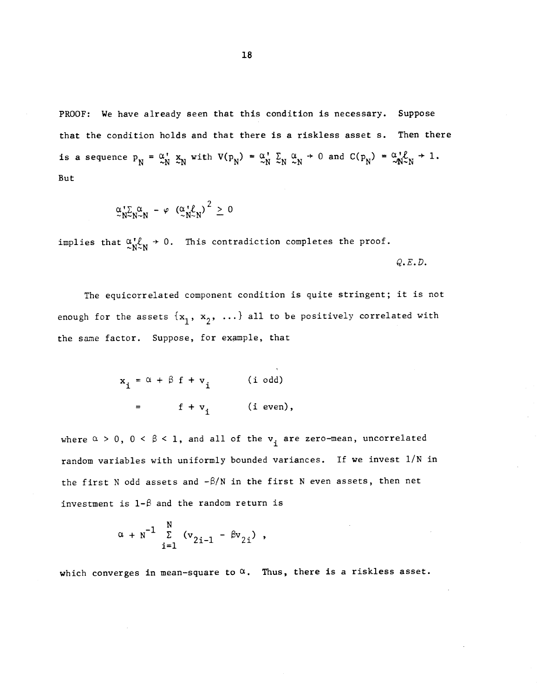PROOF: We have already seen that this condition is necessary. Suppose that the condition holds and that there is a riskiess asset s. Then there is a sequence  $p_N = \alpha_N^{\dagger} x_N^{\dagger}$  with  $V(p_N) = \alpha_N^{\dagger} \sum_N \alpha_N^{\dagger} + 0$  and  $C(p_N) = \alpha_N^{\dagger} \ell + 1$ . But

$$
\underset{\sim}{\alpha} \underset{N \sim N}{\cdot} \Sigma_{N \sim N}^{\alpha} - \varphi \left( \underset{\sim}{\alpha} \underset{N \sim N}{\cdot} \ell \right)^2 \geq 0
$$

implies that  $\alpha_{N \sim N}^{1}$  + 0. This contradiction completes the proof.  $Q$ .  $E$ .  $D$ .

The equicorrelated component condition is quite stringent; it is not enough for the assets  $\{x_1, x_2, \ldots\}$  all to be positively correlated with the same factor. Suppose, for example, that

$$
x_{i} = \alpha + \beta f + v_{i} \qquad (i \text{ odd})
$$
  
=  $f + v_{i} \qquad (i \text{ even}),$ 

where  $\alpha > 0$ ,  $0 < \beta < 1$ , and all of the  $v_i$  are zero-mean, uncorrelated random variables with uniformly bounded variances. If we invest 1/N in the first N odd assets and  $-\beta/N$  in the first N even assets, then net investment is  $1-\beta$  and the random return is

$$
\alpha + N^{-1} \sum_{i=1}^{N} (v_{2i-1} - \beta v_{2i}),
$$

which converges in mean-square to  $\alpha$ . Thus, there is a riskless asset.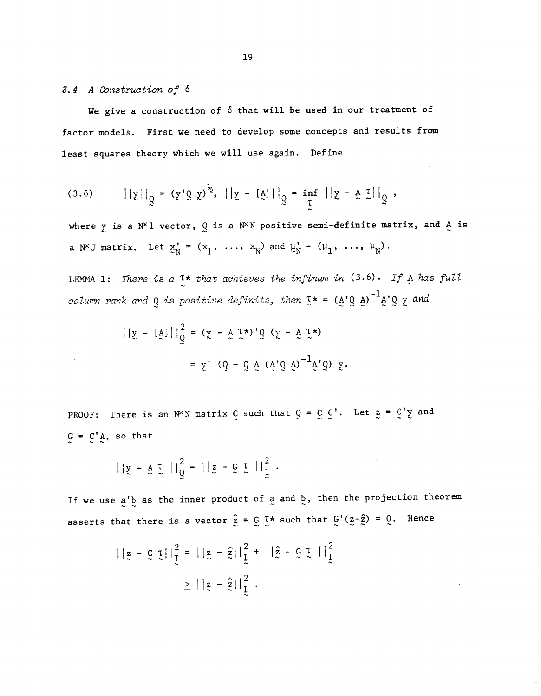### 3. 4 A Construction of 6

We give a construction of  $\delta$  that will be used in our treatment of factor models. First we need to develop some concepts and results from least squares theory which we will use again. Define

(3.6) 
$$
||y||_q = (y' \circ y)^{\frac{1}{2}}, ||y - [a]||_q = \inf_{\tau} ||y - a \circ (1)||_q,
$$

where y is a N<sup>X</sup>1 vector, Q is a N<sup>X</sup>N positive semi-definite matrix, and A is a N<sup>x</sup>J matrix. Let  $x_N' = (x_1, \ldots, x_N)$  and  $\mu_N' = (\mu_1, \ldots, \mu_N)$ .

LEMMA 1: There is a  $I^*$  that achieves the infinum in (3.6). If  $\Lambda$  has full column rank and Q is positive definite, then  $I^* = (A'Q A)^{-1}A'Q y$  and

$$
||\mathbf{y} - [\mathbf{A}]||_Q^2 = (\mathbf{y} - \mathbf{A} \mathbf{I}^*)'Q (\mathbf{y} - \mathbf{A} \mathbf{I}^*)
$$

$$
= \mathbf{y}' (Q - Q \mathbf{A} (\mathbf{A} \mathbf{Q} \mathbf{A})^{-1} \mathbf{A} Q) \mathbf{y}.
$$

PROOF: There is an N<sup>o</sup>N matrix C such that  $Q = C C'$ . Let  $z = C' y$  and  $G = C'A$ , so that

$$
||y - A \cdot L||_Q^2 = ||z - C \cdot L||_L^2.
$$

If we use  $a'$  as the inner product of a and  $\frac{b}{a}$ , then the projection theorem asserts that there is a vector  $\hat{z} = \int z \cdot \int z \cdot \int z \cdot \hat{z} \cdot \hat{z} = 0$ . Hence

$$
||z - \mathbf{G} \mathbf{I}||_1^2 = ||z - \hat{z}||_1^2 + ||\hat{z} - \mathbf{G} \mathbf{I}||_1^2
$$
  
\n
$$
\geq ||z - \hat{z}||_1^2.
$$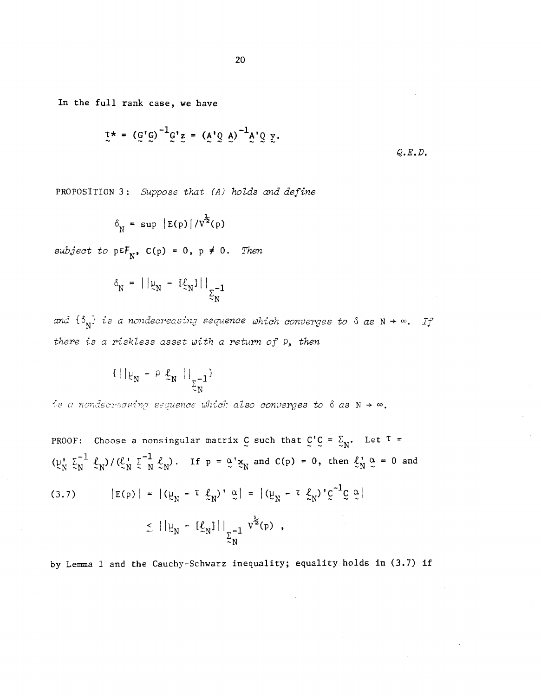In the full rank case, we have

$$
\tau^* = (g'g)^{-1}g'z = (A'g A)^{-1}A'g y.
$$

Q.E.D.

PROPOSITION 3: Suppose that (A) holds and define

$$
\delta_{\text{N}} = \sup |E(\text{p})|/V^{\frac{1}{2}}(\text{p})
$$

subject to  $p \in F_N$ ,  $C(p) = 0$ ,  $p \neq 0$ . Then

$$
\delta_{N} = ||\mu_{N} - [\xi_{N}]||_{\Sigma_{N}^{-1}}
$$

and  $\{\delta_N\}$  is a nondecreasing sequence which converges to  $\delta$  as  $N \to \infty$ . If there is a riskless asset with a return of  $\rho$ , then

$$
\{ \mid \mid \mu_N - \rho \, \underline{\ell}_N \mid \mid_{\sum_{N} -1} \}
$$

is a nondecreasing sequence which also converges to  $\delta$  as  $N \rightarrow \infty$ .

PROOF: Choose a nonsingular matrix  $C$  such that  $C'C = \sum_{N}$ . Let  $T =$  $(\mu_N^{\dagger} \Sigma_N^{-1} \ell_N) / (\ell_N^{\dagger} \Sigma_N^{-1} \ell_N)$ . If  $p = \alpha' \Sigma_N$  and  $C(p) = 0$ , then  $\ell_N^{\dagger} \alpha = 0$  and (3.7)  $|E(p)| = |(\psi_N - \tau \ \xi_N)^{\gamma} \ \tilde{\omega}| = |(\psi_N - \tau \ \xi_N)^{\gamma} \bar{C}^{-1} \zeta \ \tilde{\omega}|$  $\leq ||\mu_N - [\ell_N]||_{\Sigma_N^{-1}} v^{\frac{1}{2}}(p)$ ,

by Lemma 1 and the Cauchy—Schwarz inequality; equality holds in (3.7) if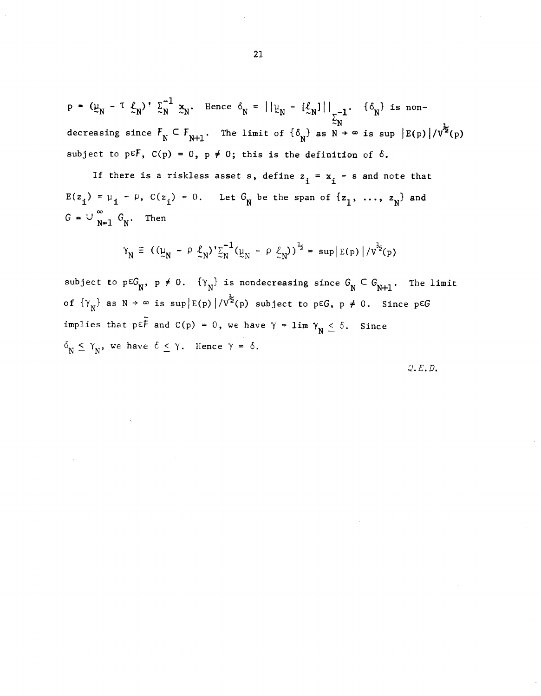=  $(\mu_{-} - \tau \ell_{-}) \cdot \Sigma_{-}^{-1}$  x, He  $\Sigma_N^{-1}$   $\mathbb{E}_N$ . Hence  $\delta_N = ||\mathbb{E}_N - [\mathbb{E}_N]||_{\mathbb{E}_N^{-1}}$ .  $\{\delta_N\}$  is nondecreasing since  $F_N \subseteq F_{N+1}$ . The limit of  $\{\delta_{\overline{N}}\}$  as  $N \twoheadrightarrow \infty$  is sup  $\big|E(p)\big|/V^2(p)$ subject to p $\epsilon F$ ,  $C(p) = 0$ ,  $p \neq 0$ ; this is the definition of  $\delta$ .

If there is a riskless asset s, define  $z_i = x_i - s$  and note that  $E(z_i) = \mu_i - \rho$ ,  $C(z_i) = 0$ . Let  $G_N$  be the span of  $\{z_1, \ldots, z_N\}$  and  $G = \cup_{N=1}^{\infty} G_N$ . Then

$$
\gamma_N \equiv ((\mu_N - \rho \ell_N)^T \sum_{N}^{-1} (\mu_N - \rho \ell_N)^T)^{\frac{1}{2}} = \sup |E(p)| / \sqrt{T^2(p)}
$$

subject to  $p \in G_N$ ,  $p \neq 0$ .  $\{Y_N\}$  is nondecreasing since  $G_N \subset G_{N+1}$ . The limit of  $\{Y_N\}$  as  $N \to \infty$  is sup  $|E(p)|/V^{\frac{1}{2}}(p)$  subject to p $\in G$ ,  $p \neq 0$ . Since p $\in G$ implies that  $p \in \overline{F}$  and  $C(p) = 0$ , we have  $\gamma = \lim_{N \to \infty} \gamma_N \leq \delta$ . Since  $\delta_N \leq \gamma_N$ , we have  $\delta \leq \gamma$ . Hence  $\gamma = \delta$ .

 $Q.E.D.$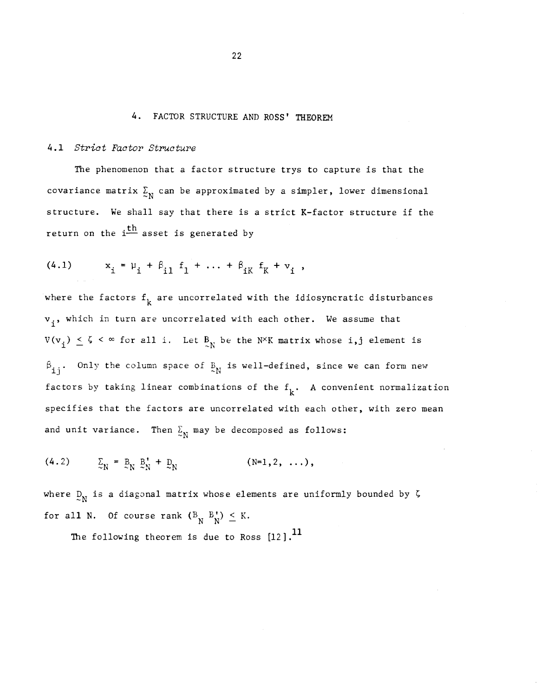### 4. FACTOR STRUCTURE AND ROSS' THEOREM

### 4.1 Strict Factor Structure

The phenomenon that a factor structure trys to capture is that the covariance matrix  $\Sigma_N$  can be approximated by a simpler, lower dimensional structure. We shall say that there is a strict K—factor structure if the return on the  $i<sup>th</sup>$  asset is generated by

(4.1) 
$$
x_i = \mu_i + \beta_{i1} f_1 + \dots + \beta_{iK} f_K + v_i
$$
,

where the factors  $f_k$  are uncorrelated with the idiosyncratic disturbances  $\rm v_{\rm \,i}$ , which in turn are uncorrelated with each other. We assume that  $V(v_i) \leq \zeta \leq \infty$  for all i. Let  $B_N$  be the N<sup>X</sup>K matrix whose i,j element is ij. Only the column space of  $E_N$  is well-defined, since we can form new factors by taking linear combinations of the  $f_k$ . A convenient normalization specifies that the factors are uncorrelated with each other, with zero mean and unit variance. Then  $\Sigma_N$  may be decomposed as follows:

(4.2)  $\sum_{N} = B_{N} B_{N} + D_{N}$  (N=1,2, ...),

where  $D_N$  is a diagonal matrix whose elements are uniformly bounded by  $\zeta$ for all N. Of course rank  $(B_N B_N^+) \leq K$ .

The following theorem is due to Ross  $[12]$ .<sup>11</sup>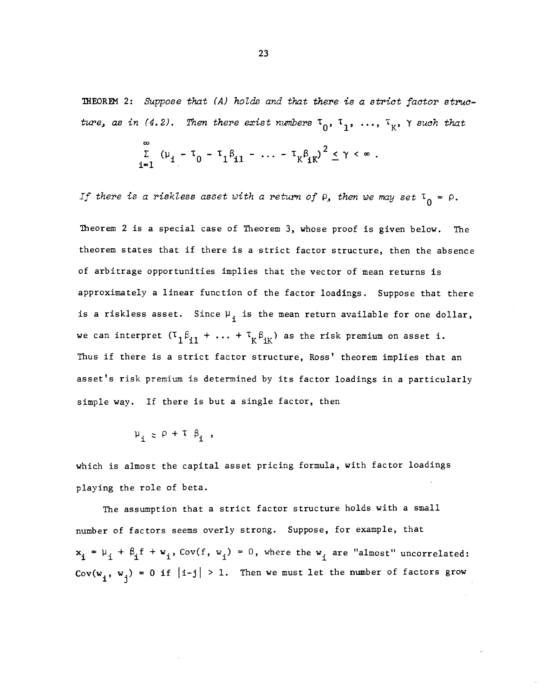THEOREM 2: Suppose that (A) holds and that there is a strict factor structure, as in (4.2). Then there exist numbers  $\tau_0$ ,  $\tau_1$ , ...,  $\tau_K$ ,  $\gamma$  such that

$$
\sum_{i=1}^{\infty} (\mu_{i} - \tau_{0} - \tau_{1} \beta_{i1} - \ldots - \tau_{K} \beta_{iK})^{2} \leq \gamma < \infty.
$$

If there is a riskless asset with a return of  $\rho$ , then we may set  $T_0 = \rho$ .

Theorem 2 is a special case of Theorem 3, whose proof is given below. The theorem states that if there is a strict factor structure, then the absence of arbitrage opportunities implies that the vector of mean returns is approximately a linear function of the factor loadings. Suppose that there is a riskless asset. Since  $\mu_i$  is the mean return available for one dollar, we can interpret  $(T_1\beta_{i1} + ... + T_K\beta_{iK})$  as the risk premium on asset i. Thus if there is a strict factor structure, Ross' theorem implies that an asset's risk premium is determined by its factor loadings in a particularly simple way. If there is but a single factor, then

 $\mu_i \approx \rho + \tau \beta_i$ ,

which is almost the capital asset pricing formula, with factor loadings playing the role of beta.

The assumption that a strict factor structure holds with a small number of factors seems overly strong. Suppose, for example, that  $x_i = \mu_i + \beta_i f + w_i$ , Cov(f,  $w_i$ ) = 0, where the  $w_i$  are "almost" uncorrelated: Cov(w<sub>1</sub>, w<sub>j</sub>) = 0 if |i-j| > 1. Then we must let the number of factors grow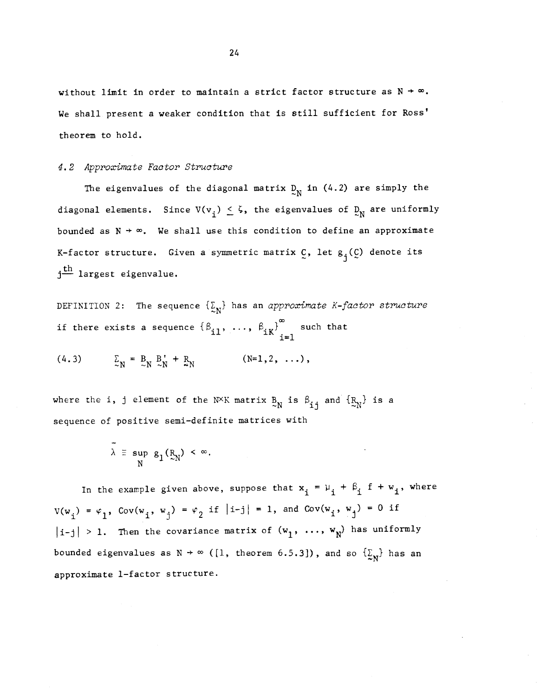without limit in order to maintain a strict factor structure as  $N \rightarrow \infty$ . We shall present a weaker condition that is still sufficient for Ross' theorem to hold.

#### 4. 2 Approximate Factor Structure

The eigenvalues of the diagonal matrix  $D_N$  in (4.2) are simply the The eigenvalues of the diagonal matrix  $\frac{D_N}{N}$  in (4.2) are simply the<br>diagonal elements. Since  $V(v_i) \leq \zeta$ , the eigenvalues of  $D_N$  are uniformly diagonal elements. Since V(v<sub>i</sub>)  $\leq$  5, the eigenvalues of  $\mathfrak{D}_\mathrm{N}$  are uniformly<br>bounded as N → ∞. We shall use this condition to define an approximate K-factor structure. Given a symmetric matrix  $C$ , let  $g_1(C)$  denote its  $j<sup>th</sup>$  largest eigenvalue.

DEFINITION 2: The sequence  $\{\Sigma_N\}$  has an approximate K-factor structure if there exists a sequence  $\{\beta_{i,1}, \ldots, \beta_{i,r}\}$  such that  $i=1$ 

(4.3)  $\sum_{N} = B_{N} B_{N} + B_{N}$  (N=1,2, ...),

where the i, j element of the NXK matrix  $B_N$  is  $B_{1j}$  and  $\{R_N\}$  is a sequence of positive semi—definite matrices with

$$
\bar{\lambda} \equiv \sup_{N} g_1(\xi_N) < \infty.
$$

In the example given above, suppose that  $x_i = \mu_i + \beta_i$  f +  $w_i$ , where  $V(w_i) = \varphi_1$ ,  $Cov(w_i, w_j) = \varphi_2$  if  $|i-j| = 1$ , and  $Cov(w_i, w_j) = 0$  if  $|i-j| > 1$ . Then the covariance matrix of  $(w_1, ..., w_N)$  has uniformly bounded eigenvalues as  $N \rightarrow \infty$  ([1, theorem 6.5.3]), and so  $\{\underline{\mathcal{E}}_N\}$  has an approximate 1—factor structure.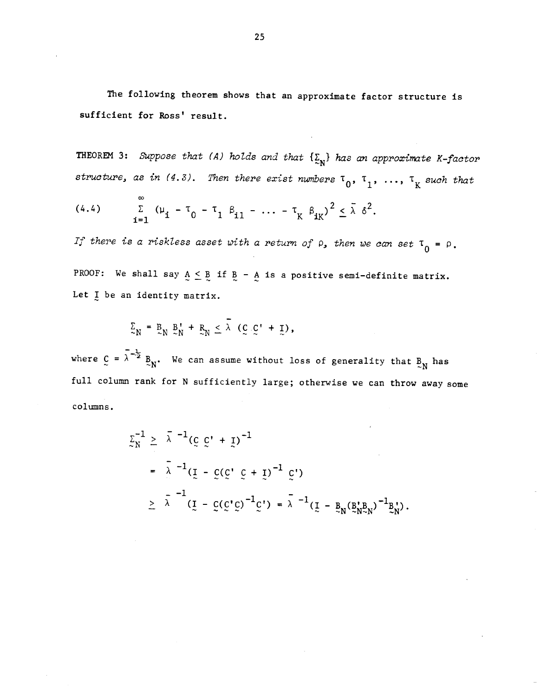The following theorem shows that an approximate factor structure is sufficient for Ross' result.

THEOREM 3: Suppose that (A) holds and that  $\{\underline{\Sigma}_N\}$  has an approximate K-factor structure, as in (4.3). Then there exist numbers  $\tau_0$ ,  $\tau_1$ , ...,  $\tau_K$  such that

(4.4) 
$$
\sum_{i=1}^{\infty} (\mu_i - \tau_0 - \tau_1 \beta_{i1} - \dots - \tau_K \beta_{iK})^2 \le \bar{\lambda} \delta^2.
$$

If there is a riskless asset with a return of  $\rho$ , then we can set  $\tau_0 = \rho$ . PROOF: We shall say  $A \leq B$  if  $B - A$  is a positive semi-definite matrix. Let I be an identity matrix.

$$
\Sigma_N = \mathbb{E}_N \mathbb{E}_N' + \mathbb{E}_N \leq \lambda (\mathbb{C} \mathbb{C}' + \mathbb{I}),
$$

where  $C = \lambda^{-\frac{1}{2}} B_N$ . We can assume without loss of generality that  $B_N$  has full column rank for N sufficiently large; otherwise we can throw away some columns.

$$
\Sigma_N^{-1} \geq \bar{\lambda}^{-1} (\bar{g} \bar{g}' + \bar{g})^{-1}
$$
\n
$$
= \bar{\lambda}^{-1} (\bar{g} - \bar{g} (\bar{g}' \bar{g} + \bar{g})^{-1} \bar{g}')
$$
\n
$$
\geq \bar{\lambda}^{-1} (\bar{g} - \bar{g} (\bar{g}' \bar{g})^{-1} \bar{g}') = \bar{\lambda}^{-1} (\bar{g} - \bar{g}_N (\bar{g}'_{N-N})^{-1} \bar{g}'_{N}).
$$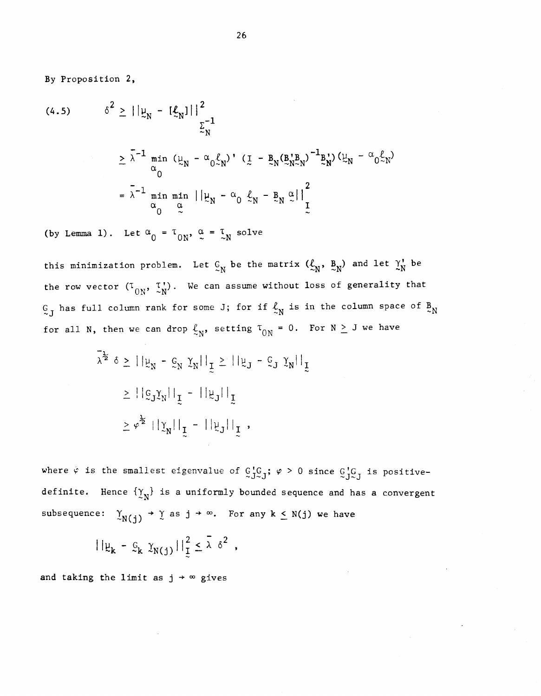By Proposition 2,

(4.5) 
$$
\delta^{2} \geq ||\mu_{N} - [\ell_{N}||^{2}]
$$

$$
\geq \lambda^{-1} \min_{\alpha} (\mu_{N} - \alpha_{0} \ell_{N})^{2} (\mathbf{I} - \mathbf{B}_{N} (\mathbf{B}_{N}^{*} \mathbf{B}_{N})^{-1} \mathbf{B}_{N}^{2}) (\mu_{N} - \alpha_{0} \ell_{N})
$$

$$
= \lambda^{-1} \min_{\alpha} \min_{\alpha} ||\mu_{N} - \alpha_{0} \ell_{N} - \mathbf{B}_{N} \alpha||^{2}
$$

(by Lemma 1). Let  $\alpha_0 = \tau_{0N}$ ,  $\alpha = \tau_N$  solve

this minimization problem. Let  $C_N$  be the matrix  $(\mathcal{L}_N, B_N)$  and let  $\gamma_N^*$  be the row vector  $(T_{ON}, T_N')$ . We can assume without loss of generality that  $G_J$  has full column rank for some J; for if  $\mathcal{L}_N$  is in the column space of  $B_N$ for all N, then we can drop  $\ell_N$ , setting  $T_{ON} = 0$ . For  $N \geq J$  we have

$$
\sum_{i=1}^{n} \sum_{j=1}^{n} |y_{N}|^{2} = \sum_{i=1}^{n} |y_{N}|^{2} = \sum_{i=1}^{n} |y_{N}|^{2}
$$
\n
$$
\sum_{i=1}^{n} |y_{N}|^{2} = \sum_{i=1}^{n} |y_{N}|^{2} = \sum_{i=1}^{n} |y_{N}|^{2}
$$

where  $\varphi$  is the smallest eigenvalue of  $G_J^{\prime}G_J^{\prime}$ ;  $\varphi > 0$  since  $G_J^{\prime}G_J$  is positivedefinite. Hence  $\{y_N\}$  is a uniformly bounded sequence and has a convergent subsequence:  $\gamma_{N(j)} \rightarrow \gamma$  as  $j \rightarrow \infty$ . For any k  $\leq N(j)$  we have

$$
||\mu_{k} - \mathcal{G}_{k} \gamma_{N(j)}||_{\mathcal{I}}^{2} \leq \bar{\lambda} \delta^{2} ,
$$

and taking the limit as  $j \rightarrow \infty$  gives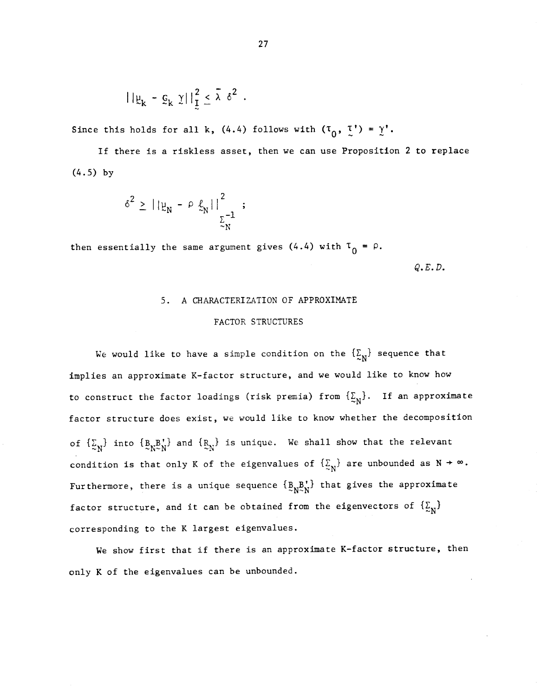$$
||\mu_k - \mathbf{g}_k||_1^2 \leq \bar{\lambda} \delta^2.
$$

Since this holds for all k, (4.4) follows with  $(\tau_0, \tau') = \gamma'.$ 

If there is a riskiess asset, then we can use Proposition 2 to replace (4.5) by

$$
\delta^2 \geq ||\mu_N - \rho \ln \frac{\ell}{\epsilon_N}||^2 \frac{1}{\epsilon_N} ;
$$

then essentially the same argument gives  $(4.4)$  with  $\tau_0 = \rho$ .

 $Q$ . $E$ . $D$ .

# 5. A CHARACTERIZATION OF APPROXIMATE FACTOR STRUCTURES

We would like to have a simple condition on the  $\{\Sigma_N\}$  sequence that implies an approximate K—factor structure, and we would like to know how to construct the factor loadings (risk premia) from  $\{\Sigma_{N}\}.$  If an approximate factor structure does exist, we would like to know whether the decomposition of  $\{\underline{\Sigma}_N\}$  into  $\{B_N^B{}_{\!\!N}^*\}$  and  $\{R_N^*\}$  is unique. We shall show that the relevant condition is that only K of the eigenvalues of  $\{\mathcal{Z}_N\}$  are unbounded as  $N \to \infty$ . Furthermore, there is a unique sequence  $\{B_N^B_N^{\dagger}\}$  that gives the approximate factor structure, and it can be obtained from the eigenvectors of  $\{\Sigma_{N}\}$ corresponding to the K largest eigenvalues.

We show first that if there is an approximate K-factor structure, then only K of the eigenvalues can be unbounded.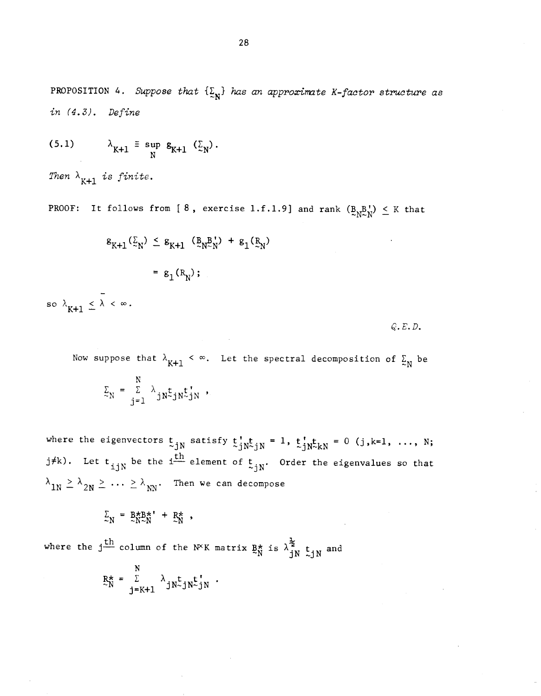PROPOSITION 4. Suppose that  $\{\underline{\Sigma}_N\}$  has an approximate K-factor structure as in (4.3). Define

$$
(5.1) \qquad \lambda_{K+1} \equiv \sup_{N} g_{K+1} (\Sigma_N).
$$

Then  $\lambda_{K+1}$  is finite.

PROOF: It follows from [8, exercise 1.f.1.9] and rank  $(B_{N}B_{N}^{t}) \leq K$  that

$$
g_{K+1}(\underline{z}_N) \le g_{K+1} (g_{N \sim N}) + g_1(g_N)
$$
  
=  $g_1(R_N)$ ;

so  $\lambda_{K+1} \leq \lambda < \infty$ .

 $Q.E.D.$ 

Now suppose that  $\lambda_{K+1} < \infty$ . Let the spectral decomposition of  $\Sigma_N$  be  $\Sigma_N = \frac{\Sigma}{i=1} \lambda_{jN} t_{jN} t_{jN}$ ,

where the eigenvectors  $t_{jN}$  satisfy  $t_{jN}^{\dagger}t_{jN} = 1$ ,  $t_{jN}^{\dagger}t_{kN} = 0$  (j,k=1, ..., N; j#k). Let  $t_{i,jN}$  be the i $\frac{th}{m}$  element of  $t_{jN}$ . Order the eigenvalues so that  $\lambda_{1N} \geq \lambda_{2N} \geq \ldots \geq \lambda_{NN}$ . Then we can decompose

$$
\Sigma_N = B_{N \sim N}^{\star} + R_N^{\star} ,
$$

where the  $j \stackrel{\text{def}}{\longrightarrow}$  column of the N<sup>X</sup>K matrix  $\frac{R_N^*}{N}$  is  $\lambda_{j,N}^2$  t<sub>in</sub> and  $JN \sim JN$ 

$$
R_N^* = \sum_{j=K+1}^N \lambda_{jN \sim jN \sim jN} t_{jN}.
$$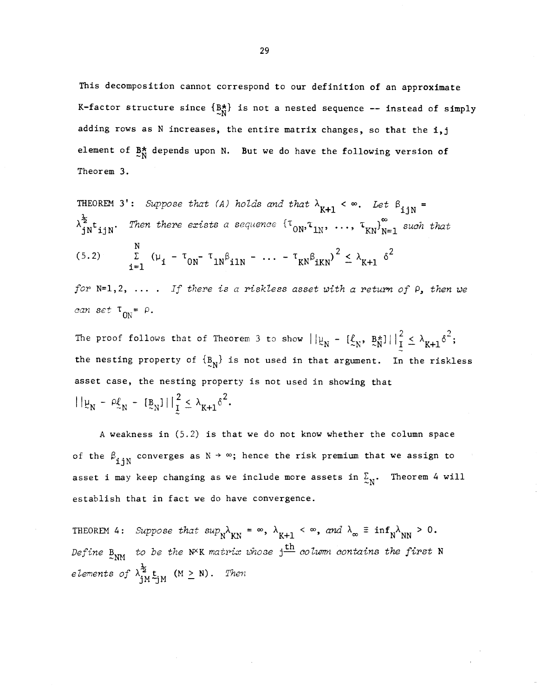This decomposition cannot correspond to our definition of an approximate K-factor structure since  $\{B_{\star}^{\star}\}$  is not a nested sequence -- instead of simply adding rows as N increases, the entire matrix changes, so that the i,j element of  $B_N^*$  depends upon N. But we do have the following version of Theorem 3.

THEOREM 3': Suppose that (A) holds and that  $\lambda_{K+1} < \infty$ . Let  $\beta_{i+N} =$  $\lambda_{jN}^{\xi}$ t<sub>ijN</sub>. Then there exists a sequence  $\{\tau_{0N},\tau_{1N},\ldots,\tau_{KN}\}_{N=1}^{\infty}$  such that (5.2)  $\sum_{i=1}^{N} (\mu_i - \tau_{0N} - \tau_{1N} \beta_{i1N} - \dots - \tau_{KN} \beta_{iKN})^2 \leq \lambda_{K+1} \delta^2$ 

for  $N=1,2$ , .... If there is a riskless asset with a return of  $P$ , then we can set  $T_{0N} = \rho$ .

The proof follows that of Theorem 3 to show  $||\psi_N - [\xi_N, B_N^*]||_1^2 \leq \lambda_{K+1} \delta^2$ ; the nesting property of  $\{B_N\}$  is not used in that argument. In the riskless asset case, the nesting property is not used in showing that  $||\psi_N - \rho_{\mathcal{L}_N} \cdot [\mathbf{B}_N]||_1^2 \leq \lambda_{K+1} \delta^2.$ 

A weakness in (5.2) is that we do not know whether the column space of the  $\beta_{\textbf{ijN}}^{\text{}}$  converges as  $N \rightarrow \infty$ ; hence the risk premium that we assign to asset i may keep changing as we include more assets in  $\Sigma_{N}$ . Theorem 4 will establish that in fact we do have convergence.

establish that in fact we do have convergence.<br>THEOREM 4: Suppose that  $\sup_{N} \lambda_{KN} = \infty$ ,  $\lambda_{K+1} < \infty$ , and  $\lambda_{\infty} \equiv \inf_{N} \lambda_{NN} > 0$ . Define  $B_{\text{NM}}$  to be the N<sup>X</sup>K matrix whose  $j^{\text{th}}$  column contains the first N elements of  $\lambda_{iM}^{\frac{1}{2}} t_{iM}$  (M  $\geq$  N). Then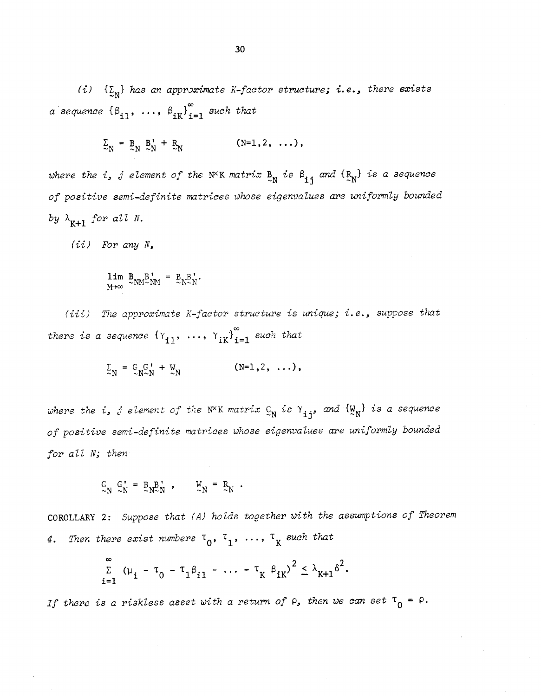(i)  $\{\Sigma_{\mathbf{N}}\}$  has an approximate K-factor structure; i.e., there exists a sequence  $\{\beta_{i1}, \ldots, \beta_{iK}\}_{i=1}^{\infty}$  such that

$$
\Sigma_N = \underline{B}_N \underline{B}_N^* + \underline{R}_N \qquad (\mathbb{N} = 1, 2, \ldots),
$$

where the i, j element of the N<sup>X</sup>K matrix  $B_N$  is  $B_{1j}$  and  $\{R_N\}$  is a sequence of positive semi-definite matrices whose eigenvalues are uniformly bounded by  $\lambda_{K+1}$  for all N.

(ii) For any N,

$$
\lim_{M\to\infty} B_{NM}^B \times_{NM}^N = B_{N}^B.
$$

(iii) The approximate K-factor structure is unique; i.e., suppose that there is a sequence  $\{\gamma_{11}, \ldots, \gamma_{1K}\}_{i=1}^{\infty}$  such that

$$
\Sigma_N = C_{N \sim N}^G + W_N \qquad (N=1,2,\ldots),
$$

where the  $i$ ,  $j$  element of the N $^{\chi}$ K matrix  $\mathcal{C}_{\rm N}$  is  $\gamma$   $_{\mathbf{i}\,\mathbf{j}'}$  and  $\{W_{\mathbf{N}}\}$  is a sequence of positive semi-definite matrices whose eigenvalues are uniformly bounded for all N; then

$$
C_N^{\dagger} C_N^{\dagger} = B_N B_N^{\dagger} , \qquad C_N^{\dagger} = B_N .
$$

COROLLARY 2: Suppose that (A) holds together with the assumptions of Theorem 4. Then there exist numbers  $\tau_0$ ,  $\tau_1$ , ...,  $\tau_k$  such that

$$
\sum_{i=1}^{\infty} (\mu_i - \tau_0 - \tau_1 \beta_{i1} - \dots - \tau_K \beta_{iK})^2 \leq \lambda_{K+1} \delta^2.
$$

If there is a riskless asset with a return of  $\rho$ , then we can set  $\tau_0$  =  $\rho$ .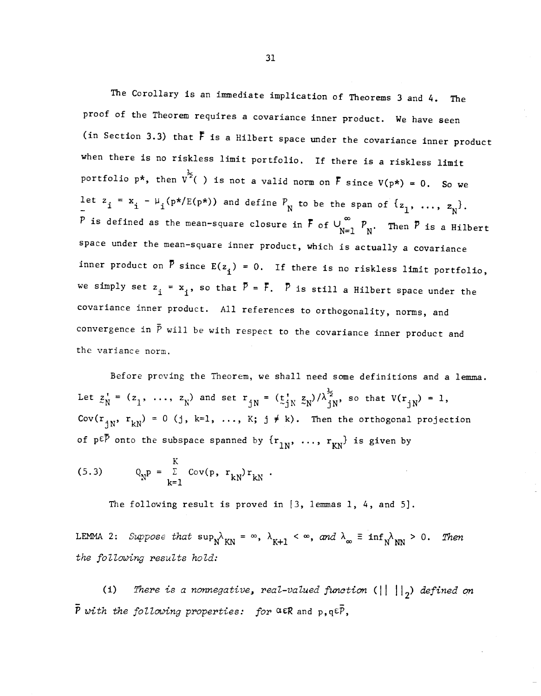The Corollary is an immediate implication of Theorems 3 and 4. The proof of the Theorem requires a covariance inner product. We have seen (in Section 3.3) that  $\bar{F}$  is a Hilbert space under the covariance inner product when there is no riskless limit portfolio. If there is a riskless limit portfolio p\*, then  $v^{\frac{1}{2}}( )$  is not a valid norm on  $\overline{F}$  since  $V(p*) = 0$ . So we let  $z_i = x_i - \mu_i(p*/E(p*))$  and define  $P_N$  to be the span of  $\{z_1, ..., z_N\}$ . P is defined as the mean-square closure in  $\overline{F}$  of  $\cup_{N=1}^{\infty}$   $P_N$ . Then  $\overline{P}$  is a Hilbert space under the mean—square inner product, which is actually a covariance inner product on  $\bar{P}$  since  $E(z_i) = 0$ . If there is no riskless limit portfolio, we simply set  $z_j = x_j$ , so that  $\overline{P} = \overline{F}$ .  $\overline{P}$  is still a Hilbert space under the covariance inner product. All references to orthogonality, norms, and convergence in  $\bar{P}$  will be with respect to the covariance inner product and the variance norm.

Before proving the Theorem, we shall need some definitions and a lemma. Let  $z_N^* = (z_1, \ldots, z_N)$  and set  $r_{jN} = (\underline{t}_{jN}^* z_N)/\lambda_{jN}^2$ , so that  $V(r_{jN}) = 1$ , Cov( $r_{jN}$ ,  $r_{kN}$ ) = 0 (j, k=1, ..., K; j  $\neq$  k). Then the orthogonal projection of p $\epsilon \bar{P}$  onto the subspace spanned by  $\{r_{1N}, \ldots, r_{KN}\}$  is given by

$$
(5.3) \tQNp = \sum_{k=1}^{K} Cov(p, rkN)rkN.
$$

The following result is proved in  $[3, 1$ emmas 1, 4, and 5].

LEMMA 2: Suppose that  $\sup_N \lambda_{KN} = \infty$ ,  $\lambda_{K+1} < \infty$ , and  $\lambda_{\infty} \equiv \inf_N \lambda_{NN} > 0$ . Then the following results hold:

(i) There is a nonnegative, real-valued function  $(|| || ||_2)$  defined on  $\bar{P}$  with the following properties: for  $\alpha \in \mathbb{R}$  and  $p, q \in \bar{P}$ ,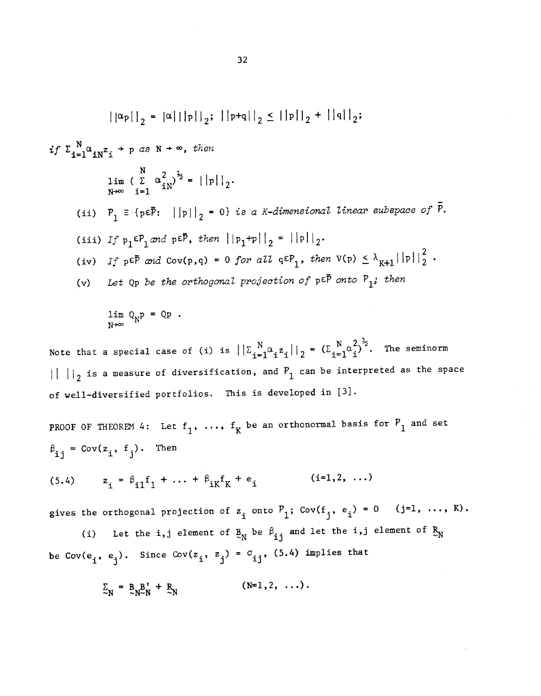$$
||\alpha_{P}||_{2} = |\alpha|||p||_{2}; ||p+q||_{2} \leq ||p||_{2} + ||q||_{2};
$$
  
\n
$$
if \ \sum_{i=1}^{N} \alpha_{i} \alpha_{i}^{2} + p \ as \ N + \infty, \ then
$$
  
\n
$$
\lim_{N \to \infty} \left( \sum_{i=1}^{N} \alpha_{i}^{2} \right)^{\frac{1}{2}} = ||p||_{2}.
$$
  
\n(ii)  $P_{1} \equiv \{p \in \overline{P}; ||p||_{2} = 0\}$  is a *K*-dimensional linear subspace of  $\overline{P}$ .  
\n(iii)  $If \ p_{1} \in P_{1} \ and \ p \in \overline{P}, \ then \ ||p_{1}+p||_{2} = ||p||_{2}.$   
\n(iv)  $If \ p \in \overline{P} \ and \ cov(p,q) = 0 \ for \ all \ q \in P_{1}, \ then \ V(p) \leq \lambda_{K+1} ||p||_{2}^{2}.$   
\n(v) Let Qp be the orthogonal projection of  $p \in \overline{P}$  onto  $P_{1}$ ; then

$$
\lim_{N\to\infty} Q_N P = QP.
$$

 $N_{\alpha}$  = 11 =  $(5 \text{ N } \alpha^2)^{\frac{1}{2}}$  The seminor Note that a special case of (i) is  $||\sum_{i=1}^{N} \alpha_i z_i||_2 = (\sum_{i=1}^{N} \alpha_i^2)^2$ . The seminorm  $\left|\right|_2$  is a measure of diversification, and  $P_1$  can be interpreted as the space of well—diversified portfolios. This is developed in [31.

PROOF OF THEOREM 4: Let  $f_1$ , ...,  $f_K$  be an orthonormal basis for  $P_1$  and set  $i_j = Cov(z_j, f_j)$ . Then

(5.4) 
$$
z_i = \beta_{i1} f_1 + ... + \beta_{iK} f_K + e_i
$$
 (i=1,2,...)

gives the orthogonal projection of  $z_j$  onto  $\mathcal{P}_1$ ; Cov( $f_j$ ,  $e_j$ ) = 0  $($  j=1,  $\ldots$ , K).

(i) Let the i,j element of  $B_N$  be  $\beta_{ij}$  and let the i,j element of  $B_N$ be Cov( $e_i$ ,  $e_j$ ). Since Cov( $z_i$ ,  $z_j$ ) =  $\sigma_{ij}$ , (5.4) implies that

$$
\Sigma_N = B_{N \sim N}^B + R_N \qquad (\text{N=1,2, ...}).
$$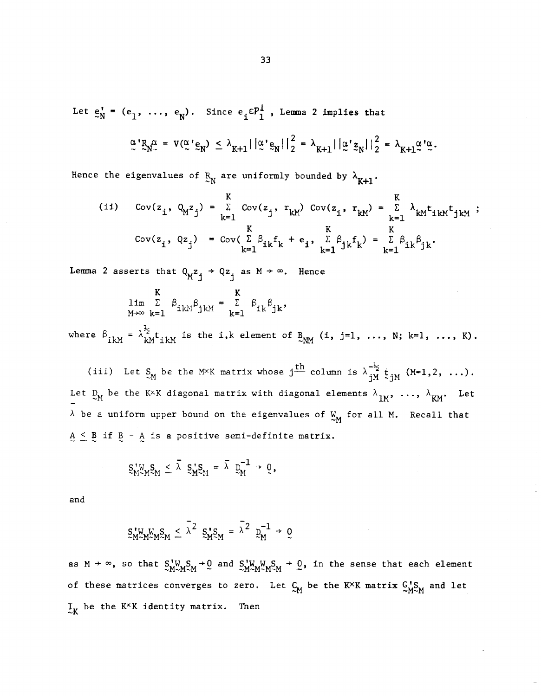Let  $e_N^* = (e_1, \ldots, e_N)$ . Since  $e_j \in \mathcal{P}_1^{\perp}$ , Lemma 2 implies that

$$
\alpha' R_N^{\alpha} = V(\alpha' \epsilon_N) \leq \lambda_{K+1} ||\alpha' \epsilon_N||_2^2 = \lambda_{K+1} ||\alpha' \epsilon_N||_2^2 = \lambda_{K+1} \alpha' \alpha.
$$

Hence the eigenvalues of  $R_N$  are uniformly bounded by  $\lambda_{K+1}$ .

(ii) 
$$
Cov(z_i, Q_{M}z_j) = \sum_{k=1}^{K} Cov(z_j, r_{kM}) Cov(z_i, r_{kM}) = \sum_{k=1}^{K} \lambda_{kM} t_{1kM} t_{jkm} ;
$$
  
\n $Cov(z_i, Qz_j) = Cov(\sum_{k=1}^{K} \beta_{ik} f_k + e_i, \sum_{k=1}^{K} \beta_{jk} f_k) = \sum_{k=1}^{K} \beta_{ik} \beta_{jk}.$ 

Lemma 2 asserts that  $Q_M^2 z_i^2 + Q z_i^2$  as  $M \rightarrow \infty$ . Hence

$$
\lim_{\gamma \to \infty} \sum_{k=1}^{K} \beta_{ikM} \beta_{jkm} = \sum_{k=1}^{K} \beta_{ik} \beta_{jk},
$$

where  $\beta_{ikM} = \lambda_{kM}^{\frac{1}{2}} t_{ikM}$  is the i,k element of  $B_{NM}$  (i, j=1, ..., N; k=1, ..., K).

(iii) Let  $S_M$  be the M×K matrix whose j<sup>th</sup> column is  $\lambda_{jM}^{-\frac{1}{2}}$  t<sub>j</sub><sub>M</sub> (M=1,2, ...). Let  $D_M$  be the K×K diagonal matrix with diagonal elements  $\lambda_{1M}$ , ...,  $\lambda_{KM}$ . Let  $\lambda$  be a uniform upper bound on the eigenvalues of  $\frac{M}{M}$  for all M. Recall that  $A \leq B$  if  $B - A$  is a positive semi-definite matrix.

$$
\mathbb{S}^{\,\boldsymbol{\tau}}_{M\sim M}\mathbb{S}_M\,\leq\,\bar{\lambda}\ \, \mathbb{S}^{\,\boldsymbol{\tau}}_{M}\mathbb{S}_M\,=\,\bar{\lambda}\ \, \mathbb{D}^{-1}_{M}\,\,\rightarrow\,\,\mathbb{Q}\,,
$$

and

$$
S_{M}^{V}M_{M}^{W}S_{M} \leq \lambda^{2} S_{M}^{V}S_{M} = \lambda^{2} D_{M}^{-1} \to 0
$$

as  $M \to \infty$ , so that  $S_{M-M}^{\dagger}S_M \to 0$  and  $S_{M-M}^{\dagger}S_M \to 0$ , in the sense that each element of these matrices converges to zero. Let  $C_M$  be the K<sup>X</sup>K matrix  $C_{M \sim M}$  and let  $I_{\rm x}$  be the K<sup>x</sup>K identity matrix. Then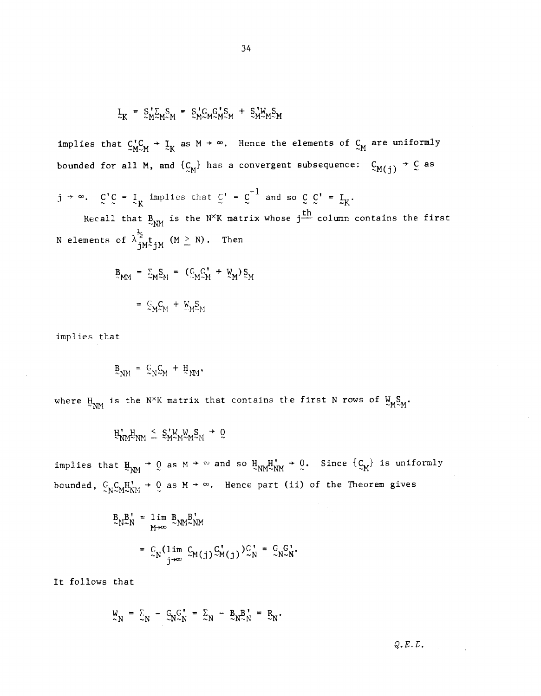$$
\mathbf{I}_{K} = \mathbf{S}_{M}^{\mathsf{T}} \mathbf{S}_{M} \mathbf{S}_{M} = \mathbf{S}_{M}^{\mathsf{T}} \mathbf{G}_{M} \mathbf{S}_{M}^{\mathsf{T}} \mathbf{S}_{M} + \mathbf{S}_{M}^{\mathsf{T}} \mathbf{W}_{M} \mathbf{S}_{M}
$$

implies that  $C_{M \sim M}^{1}$  +  $\frac{1}{N}$  as M +  $\infty$ . Hence the elements of  $C_{M}$  are uniformly bounded for all M, and  $\{C_M\}$  has a convergent subsequence:  $C_{M(j)} \rightarrow C$  as

 $j \rightarrow \infty$ .  $C'C = I$  implies that  $C' = C^{-1}$  and so  $C'C' = I_K$ .

Recall that  $B_{NN}$  is the N<sup>X</sup>K matrix whose  $j$ <sup>th</sup> column contains the first N elements of  $\lambda \frac{1}{i} M \frac{1}{i} M$  (M  $\geq$  N). Then

$$
B_{MM} = \sum_{M} S_{M} = (C_{M} C_{M}^{\dagger} + W_{M}) S_{M}
$$
  

$$
= C_{M} C_{M} + W_{M} S_{M}
$$

implies that

$$
\mathbf{B}_{\mathbf{N}\mathbf{M}} = \mathbf{C}_{\mathbf{N}} \mathbf{C}_{\mathbf{M}} + \mathbf{H}_{\mathbf{N}\mathbf{M}},
$$

where  $H_{NM}$  is the N<sup>X</sup>K matrix that contains the first N rows of  $W_{M}S_M$ .

 $H_{NM}^*$  $\leq S_{M}^*$  $\mathbb{W}_{M}^*$  $\mathbb{W}_{M}^S$  $\leq$ 

implies that  $\text{H}_{\text{N}\text{M}} \rightarrow 0$  as  $M \rightarrow \infty$  and so  $\text{H}_{\text{N}\text{M}} \text{H}_{\text{N}\text{M}}^{\text{H}} \rightarrow 0$ . Since  $\{C_{\text{M}}\}$  is uniformly bounded,  $C_{N}C_{M}H_{\sim NN}^{1}$  + 0 as M +  $\infty$ . Hence part (ii) of the Theorem gives

$$
B_{N} = \lim_{M \to \infty} B_{N} = \lim_{M \to \infty} B_{N} = \lim_{M \to \infty} B_{N} = \lim_{M \to \infty} B_{N} = \lim_{M \to \infty} B_{N} = \lim_{M \to \infty} B_{N} = \lim_{M \to \infty} B_{N} = \lim_{M \to \infty} B_{N} = \lim_{M \to \infty} B_{N} = \lim_{M \to \infty} B_{N} = \lim_{M \to \infty} B_{N} = \lim_{M \to \infty} B_{N} = \lim_{M \to \infty} B_{N} = \lim_{M \to \infty} B_{N} = \lim_{M \to \infty} B_{N} = \lim_{M \to \infty} B_{N} = \lim_{M \to \infty} B_{N} = \lim_{M \to \infty} B_{N} = \lim_{M \to \infty} B_{N} = \lim_{M \to \infty} B_{N} = \lim_{M \to \infty} B_{N} = \lim_{M \to \infty} B_{N} = \lim_{M \to \infty} B_{N} = \lim_{M \to \infty} B_{N} = \lim_{M \to \infty} B_{N} = \lim_{M \to \infty} B_{N} = \lim_{M \to \infty} B_{N} = \lim_{M \to \infty} B_{N} = \lim_{M \to \infty} B_{N} = \lim_{M \to \infty} B_{N} = \lim_{M \to \infty} B_{N} = \lim_{M \to \infty} B_{N} = \lim_{M \to \infty} B_{N} = \lim_{M \to \infty} B_{N} = \lim_{M \to \infty} B_{N} = \lim_{M \to \infty} B_{N} = \lim_{M \to \infty} B_{N} = \lim_{M \to \infty} B_{N} = \lim_{M \to \infty} B_{N} = \lim_{M \to \infty} B_{N} = \lim_{M \to \infty} B_{N} = \lim_{M \to \infty} B_{N} = \lim_{M \to \infty} B_{N} = \lim_{M \to \infty} B_{N} = \lim_{M \to \infty} B_{N} = \lim_{M \to \infty} B_{N} = \lim_{M \to \infty} B_{N} = \lim_{M \to \infty} B_{N} = \lim_{M \to \infty} B_{N} = \lim_{M \to \infty} B_{N} = \lim_{M
$$

It follows that

$$
\mathbf{W}_{\mathbf{N}} = \Sigma_{\mathbf{N}} - \mathbf{G}_{\mathbf{N}} \mathbf{G}_{\mathbf{N}}^{\mathbf{I}} = \Sigma_{\mathbf{N}} - \mathbf{B}_{\mathbf{N}} \mathbf{B}_{\mathbf{N}}^{\mathbf{I}} = \mathbf{R}_{\mathbf{N}}.
$$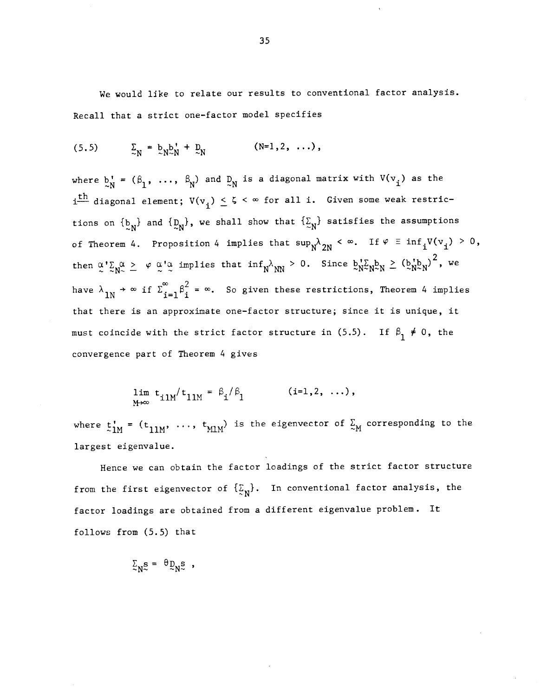We would Like to relate our results to conventional factor analysis. Recall that a strict one—factor model specifies

(5.5) 
$$
\sum_{\sim N} = b_{\sim N} b_{\sim N}^{\dagger} + D_{\sim N} \qquad (\text{N=1,2, ...}),
$$

where  $b'_N = (\beta_1, \ldots, \beta_N)$  and  $D_N$  is a diagonal matrix with  $V(v_i)$  as the  $i_{\text{th}}$  diagonal element;  $V(v_i) \leq \zeta \leq \infty$  for all i. Given some weak restrictions on  $\{b_N\}$  and  $\{D_N\}$ , we shall show that  $\{\Sigma_N\}$  satisfies the assumptions of Theorem 4. Proposition 4 implies that  $\sup_{N} \lambda_{2N} < \infty$ . If  $\varphi \equiv \inf_{i} V(v_i) > 0$ , then  $\alpha' \Sigma_N^{\alpha} \geq \varphi \alpha' \alpha$  implies that  $\inf_N \lambda_{NN} > 0$ . Since  $b_N' \Sigma_N b_N \geq (b_N' b_N)^2$ , we  $\sim$   $\sigma^2$   $\sim$  0 then  $\frac{\alpha}{2}$ ,  $\frac{2}{N^2}$   $\frac{\beta}{2}$   $\frac{\alpha}{N}$  if  $\sum_{i=1}^{\infty} \beta_i^2 = \infty$ . So given these restrictions, Theorem 4 implies that there is an approximate one—factor structure; since it is unique, it must coincide with the strict factor structure in (5.5). If  $\beta_1 \neq 0$ , the convergence part of Theorem 4 gives

$$
\lim_{M \to \infty} t_{i1M} / t_{11M} = \beta_i / \beta_1 \qquad (i=1,2,\ldots),
$$

where  $t'_{1M}$  = ( $t_{11M}$ , ...,  $t_{M1M}$ ) is the eigenvector of  $\frac{c}{\alpha_M}$  corresponding to the largest eigenvalue.

Hence we can obtain the factor loadings of the strict factor structure from the first eigenvector of  $\{\mathcal{L}_{\mathbf{N}}\}$ . In conventional factor analysis, the factor loadings are obtained from a different eigenvalue problem. It follows from (5.5) that

 $\Sigma_{\text{NS}} = \theta \Sigma_{\text{NS}}$ ,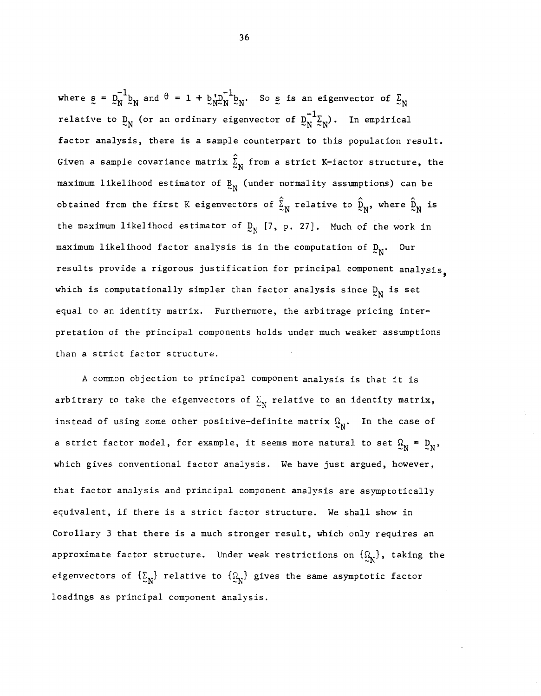where  $s = D_N^{-1}b_N$  and  $\theta = 1 + b_N b_N^{-1}b_N$ . So s is an eigenvector of  $\Sigma_N$ relative to  $D_N$  (or an ordinary eigenvector of  $D_N^{-1}$  $\Sigma_N$ ). In empirical factor analysis, there is a sample counterpart to this population result. Given a sample covariance matrix  $\hat{\Sigma}_{N}$  from a strict K-factor structure, the maximum likelihood estimator of  $R_N$  (under normality assumptions) can be obtained from the first K eigenvectors of  $\hat{\Sigma}_{N}$  relative to  $\hat{\Sigma}_{N}$ , where  $\hat{\Sigma}_{N}$  is the maximum likelihood estimator of  $D_N$  [7, p. 27]. Much of the work in maximum likelihood factor analysis is in the computation of  $D_N$ . Our results provide a rigorous justification for principal component analysis which is computationally simpler than factor analysis since  $D_N$  is set equal to an identity matrix. Furthermore, the arbitrage pricing interpretation of the principal components holds under much weaker assumptions than a strict factor structure.

A common objection to principal component analysis is that it is arbitrary to take the eigenvectors of  $\sum_{N}$  relative to an identity matrix, instead of using some other positive-definite matrix  $\Omega_{N}$ . In the case of a strict factor model, for example, it seems more natural to set  $\Omega_N = D_N$ , which gives conventional factor analysis. We have just argued, however, that factor analysis and principal component analysis are asymptotically equivalent, if there is a strict factor structure. We shall show in Corollary 3 that there is a much stronger result, which only requires an approximate factor structure. Under weak restrictions on  $\{\mathfrak{Q}_{N}\}\)$ , taking the eigenvectors of  $\{\Sigma_N\}$  relative to  $\{\Omega_N\}$  gives the same asymptotic factor loadings as principal component analysis.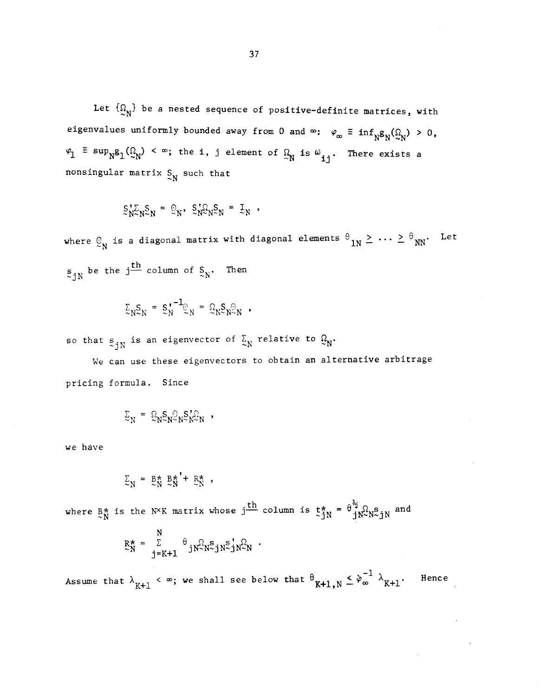Let  $\{\Omega_N\}$  be a nested sequence of positive-definite matrices, with eigenvalues uniformly bounded away from 0 and  $\infty$ :  $\varphi_{\infty} \equiv \inf_{N} g_N(\Omega_N) > 0$ ,  $\varphi_1$   $\equiv$   $\sup_{N} g_1(\Omega_N)$  <  $\infty$ ; the i, j element of  $\Omega_N$  is  $\omega_{ij}$ . There exists a nonsingular matrix  $S_N$  such that

$$
S_N^{\dagger} S_N^{\dagger} = \mathcal{Q}_N, \ S_N^{\dagger} S_N^{\dagger} = \mathcal{I}_N,
$$

where  $\mathcal{Q}_N$  is a diagonal matrix with diagonal elements  $\theta_{1N} \geq \cdots \geq \theta_{NN}$ . Let  $\mathbf{s}_{\hat{\text{J}}\text{N}}$  be the j $\frac{\text{th}}{2}$  column of  $\frac{\text{S}}{2\text{N}}$ . Then

$$
\Sigma_{N} S_{N} = S_{N}^{\dagger - 1} \mathbb{Q}_{N} = \Omega_{N} S_{N} \mathbb{Q}_{N} ,
$$

so that  $s_{1N}$  is an eigenvector of  $\frac{S}{N}$  relative to  $\Omega_N$ .

We can use these eigenvectors to obtain an alternative arbitrage pricing formula. Since

$$
\Sigma_N = \Omega_N S_N \Omega_N S_N^{\bullet} \Sigma_N
$$

we have

$$
\Sigma_N = B_N^* B_N^{*^*+} R_N^* ,
$$

where  $B^{\star}_{N}$  is the N<sup>X</sup>K matrix whose  $j\frac{th}{m}$  column is  $t^{\star}_{j}$  =  $\theta^{\frac{1}{2}}_{j}$ N<sup>S</sup> $_{N}$ S $_{j}$ N and

$$
\mathbf{R}_{N}^{\star} = \sum_{j=K+1}^{N} \theta_{j} \mathbf{N}_{\sim}^{\Omega} \mathbf{N}_{\sim}^{\mathbf{S}} \mathbf{j} \mathbf{N}_{\sim}^{\Sigma} \mathbf{j} \mathbf{N}_{\sim}^{\Omega} \mathbf{N} .
$$

Assume that  $\lambda_{K+1} < \infty$ ; we shall see below that  $\theta_{K+1,N} \leq \phi_{\infty}^{-1}$   $\lambda_{K+1}$ . Hence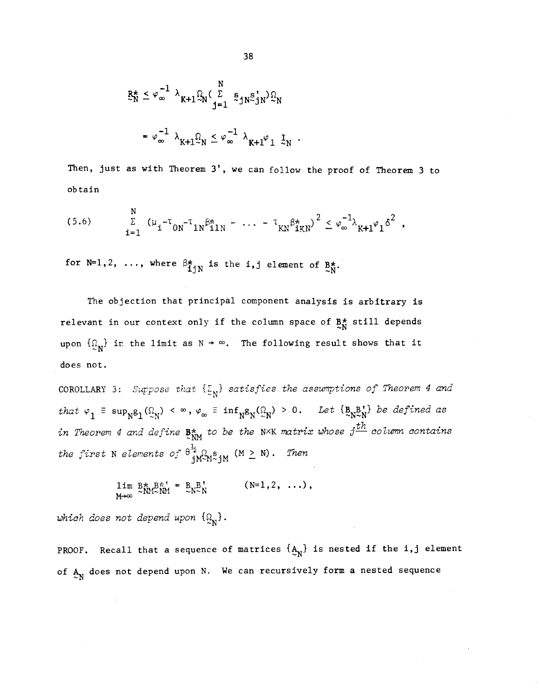$$
\mathbf{R}_{N}^{\star} \leq \varphi_{\infty}^{-1} \lambda_{K+1} \mathbb{Q}_{N} (\sum_{j=1}^{N} \mathbf{s}_{jN} \mathbf{s}_{jN}^{\dagger}) \mathbb{Q}_{N}
$$
\n
$$
= \varphi_{\infty}^{-1} \lambda_{K+1} \mathbb{Q}_{N} \leq \varphi_{\infty}^{-1} \lambda_{K+1} \varphi_{1} \mathbb{I}_{N}.
$$

Then, just as with Theorem 3', we can follow the proof of Theorem 3 to obtain

(5.6) 
$$
\sum_{i=1}^{N} (\mu_{i} - \tau_{0N} - \tau_{1N}\beta_{11N}^{*} - \cdots - \tau_{KN}\beta_{1KN}^{*})^{2} \leq \varphi_{\infty}^{-1} \lambda_{K+1} \varphi_{1} \delta^{2},
$$

for N=1,2, ..., where  $\beta_{1:N}^*$  is the i,j element of  $B_N^*$ .

The objection that principal component analysis is arbitrary is relevant in our context only if the column space of  $B_N^*$  still depends upon  $\{\mathfrak{Q}_{N}\}$  in the limit as  $N \to \infty$ . The following result shows that it does not.

COROLLARY 3: Suppose that  $\{\xi_N\}$  satisfies the assumptions of Theorem 4 and that  $\varphi_1$  =  $\sup_{N^2}$   $(\Omega_N)$  <  $\infty$ ,  $\varphi_{\infty}$  =  $\inf_{N^2}$   $(\Omega_N)$  > 0. Let  $\{B_{N^2N}$  be defined as in Theorem 4 and define  $B_{\text{NM}}^{\star}$  to be the N×K matrix whose  $j^{\text{th}}$  column contains the first N elements of  $\theta^{\frac{1}{2}}_{j} \Omega_{M} S_{j}$  (M  $\geq$  N). Then

$$
\lim_{M\to\infty} B^*_{NM\sim NM} = B^*_{NN\sim N} \qquad (N=1,2,\ldots),
$$

which does not depend upon  $\{ \Omega_N \}$ .

PROOF. Recall that a sequence of matrices  $\{A_N\}$  is nested if the i,j element of  $A_N$  does not depend upon N. We can recursively form a nested sequence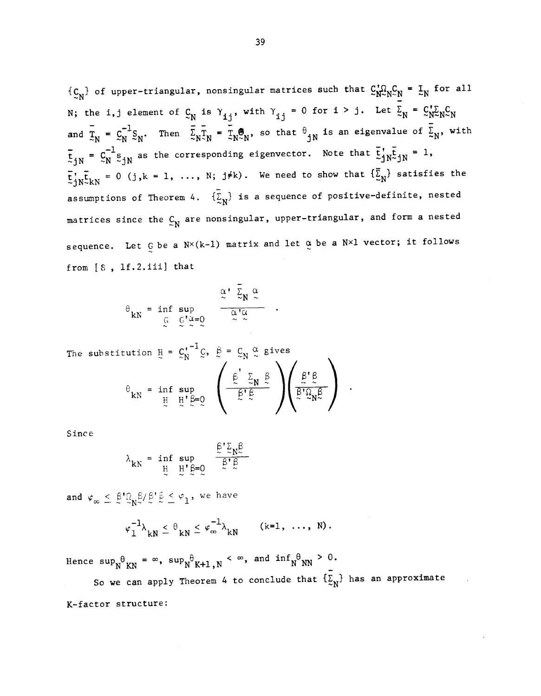$\{C_N\}$  of upper-triangular, nonsingular matrices such that  $C_N^{\dagger}\Omega_NC_N = I_N$  for all N; the i,j element of  $C_N$  is  $\gamma_{ij}$ , with  $\gamma_{ij} = 0$  for  $i > j$ . Let  $\sum_{N=1}^{N} C_N C_N$ and  $\overline{X}_N = C_N^{-1} S_N$ . Then  $\overline{X}_N \overline{X}_N = \overline{X}_N \overline{S}_N$ , so that  $\theta_{jN}$  is an eigenvalue of  $\overline{X}_N$ , with  $\overline{t}_{jN} = C_N^{-1} s_{jN}$  as the corresponding eigenvector. Note that  $\overline{t}_{jN}^{\dagger} s_{jN} = 1$ ,  $\overline{t}$ ,  $\overline{t}_{NN} = 0$  (j,k = 1, ..., N; j#k). We need to show that  $\{\overline{\Sigma}_{N}\}$  satisfies the assumptions of Theorem 4.  $\{\overline{\xi}_N\}$  is a sequence of positive-definite, nested matrices since the  $C_N$  are nonsingular, upper-triangular, and form a nested sequence. Let  $G$  be a  $N\times (k-1)$  matrix and let  $\alpha$  be a  $N\times 1$  vector; it follows from [8 , lf.2.iii] that

$$
\theta_{kN} = \inf_{\mathbb{G}} \sup_{\mathbb{G}} \varphi_{\alpha} = 0 \qquad \frac{\alpha' \sum_{N} \alpha}{\alpha' \alpha} \quad .
$$

The substitution  $H = C_N^{1-1}Q$ ,  $\beta = C_N \frac{\alpha}{\infty}$  gives  $\frac{B'B}{B'O}$  .  $\theta$ <sub>kN</sub> = inf su<sub>l</sub>  $\mathbf{V}$ 

Since

$$
\lambda_{kN} = \inf_{\underline{H}} \sup_{\underline{H}^{\prime}} \sum_{\underline{\beta} = 0}^{\underline{\beta} \cdot \underline{\gamma}} \frac{\lambda_{k}^{\underline{\beta}}}{\underline{\beta} \cdot \underline{\beta}}
$$

and  $\varphi_{\infty} \leq \frac{\beta' \Omega}{N} \frac{\beta}{N} / \frac{\beta'}{N} \frac{\beta}{N} \leq \varphi_1$ , we have

$$
\varphi_1^{-1}\lambda_{kN} \leq \theta_{kN} \leq \varphi_{\infty}^{-1}\lambda_{kN} \qquad (k=1, \ldots, N).
$$

Hence  $\sup_N\!\frac{}{\theta}_\mathrm{KN}=\infty$ ,  $\sup_N\!\frac{}{\theta}_\mathrm{K+1,N}<\infty$ , and  $\inf_N\!\frac{}{\theta}_\mathrm{NN}>0$ .

So we can apply Theorem 4 to conclude that  $\{\Sigma_{N}\}$  has an approximate K—factor structure: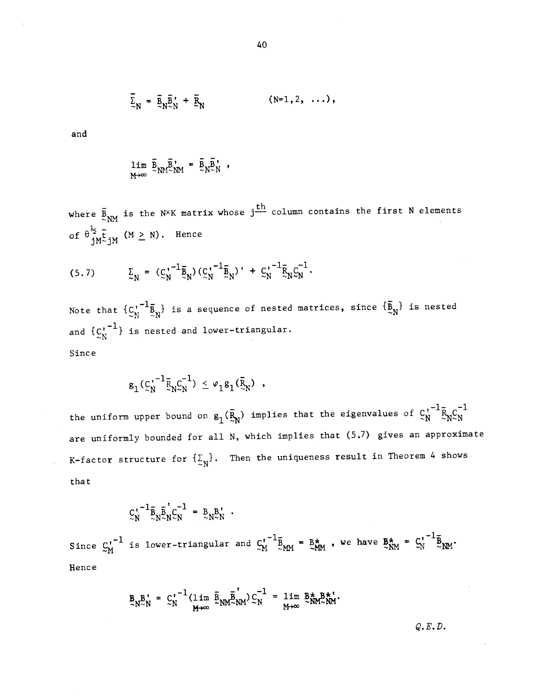$$
\overline{\Sigma}_{N} = \overline{B}_{N} \overline{B}_{N}^{\dagger} + \overline{B}_{N} \qquad (\text{N=1,2, ...}),
$$

and

$$
\lim_{M\to\infty} \overline{B}_{NM} \overline{B}_{NM}^{\prime} = \overline{B}_{N} \overline{B}_{N}^{\prime} ,
$$

where  $\frac{1}{2}$ <sub>NM</sub> is the N<sup>X</sup>K matrix whose j<sup>th</sup> column contains the first N elements of  $\theta \frac{\frac{1}{2}}{iM}$  (M  $\geq$  N). Hence

$$
(5.7) \qquad \qquad \Sigma_N = (C_N^{1-\frac{1}{2}} \bar{B}_N) (C_N^{1-\frac{1}{2}} \bar{B}_N)^{\dagger} + C_N^{1-\frac{1}{2}} \bar{B}_N C_N^{-1}.
$$

Note that  ${C_N^{\dagger}}^{-1}$  $\tilde{B}_N$  is a sequence of nested matrices, since  $\{\tilde{B}_N\}$  is nested and  ${c_n^{-1}}$  is nested and lower-triangular. Since

$$
g_1({c_N'}^{-1} \bar{R}_N c_N^{-1}) \leq \varphi_1 g_1(\bar{R}_N) ,
$$

the uniform upper bound on  $g_1(\bar{R}_N)$  implies that the eigenvalues of  $C_N^{\tau^{-1}} \bar{R}_N C_N^{-1}$ are uniformly bounded for all N, which implies that (5.7) gives an approximate K-factor structure for  $\{\Sigma_N\}$ . Then the uniqueness result in Theorem 4 shows that

$$
\mathbf{C}_N^{\mathbf{1}} \mathbf{E}_N \mathbf{E}_N^{\mathbf{1}} \mathbf{C}_N^{-1} = \mathbf{E}_N \mathbf{E}_N^{\mathbf{1}}.
$$

Since  $\zeta_N^{\prime^{-1}}$  is lower-triangular and  $\zeta_N^{\prime^{-1}} \bar{B}_{NM} = B^{\star}_{NM}$ , we have  $B^{\star}_{NM} = \zeta_N^{\prime^{-1}} \bar{B}_{NM}$ . Hence

$$
\mathbf{B}_{N} \mathbf{B}_{N}^{\prime} = \mathbf{C}_{N}^{\prime -1} (\lim_{M \to \infty} \overline{\mathbf{B}}_{NM} \overline{\mathbf{B}}_{NM}^{\prime}) \mathbf{C}_{N}^{-1} = \lim_{M \to \infty} \mathbf{B}_{NM}^{\star} \mathbf{B}_{NM}^{\star}.
$$

Q. E. D.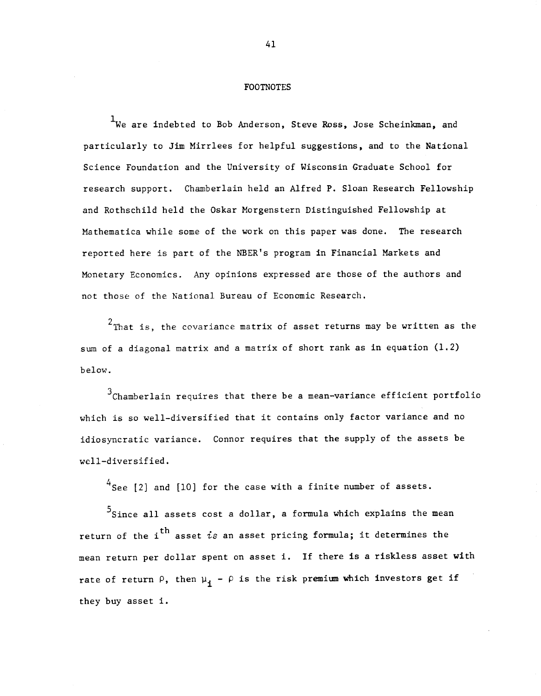### FOOTNOTES

'We are indebted to Bob Anderson, Steve Ross, Jose Scheinkman, and particularly to Jim Mirrlees for helpful suggestions, and to the National Science Foundation and the University of Wisconsin Graduate School for research support. Chamberlain held an Alfred P. Sloan Research Fellowship and Rothschild held the Oskar Morgenstern Distinguished Fellowship at Mathematica while some of the work on this paper was done. The research reported here is part of the NBER's program in Financial Markets and Monetary Economics. Any opinions expressed are those of the authors and not those of the National Bureau of Economic Research.

 $2$ That is, the covariance matrix of asset returns may be written as the sum of a diagonal matrix and a matrix of short rank as in equation (1.2) below.

 $3<sup>3</sup>$ Chamberlain requires that there be a mean-variance efficient portfolio which is so well—diversified that it contains only factor variance and no idiosyncratic variance. Connor requires that the supply of the assets be well—diversified.

 $4$ See [2] and [10] for the case with a finite number of assets.

 $5$ Since all assets cost a dollar, a formula which explains the mean return of the i<sup>th</sup> asset is an asset pricing formula; it determines the mean return per dollar spent on asset 1. If there is a riskiess asset with rate of return  $\rho$ , then  $\mu$ <sub>i</sub> -  $\rho$  is the risk premium which investors get if they buy asset i.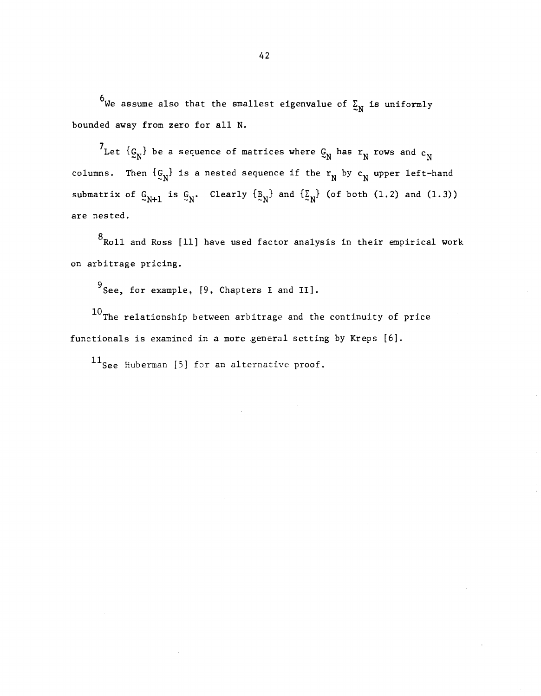$^6$ We assume also that the smallest eigenvalue of  $\Sigma_{\rm N}$  is uniformly bounded away from zero for all N.

<sup>7</sup>Let  $\{g_N\}$  be a sequence of matrices where  $g_N$  has  $r_N$  rows and  $c_N$ columns. Then  $\{g_N\}$  is a nested sequence if the  $r_N$  by  $c_N$  upper left-hand submatrix of  $C_{N+1}$  is  $C_N$ . Clearly  $\{B_N\}$  and  $\{C_N\}$  (of both (1.2) and (1.3)) are nested.

 $8$ Roll and Ross [11] have used factor analysis in their empirical work on arbitrage pricing.

9 See, for example, [9, Chapters I and II].

 $10$ The relationship between arbitrage and the continuity of price functionals is examined in a more general setting by Kreps [6].

11<sub>See</sub> Huberman [5] for an alternative proof.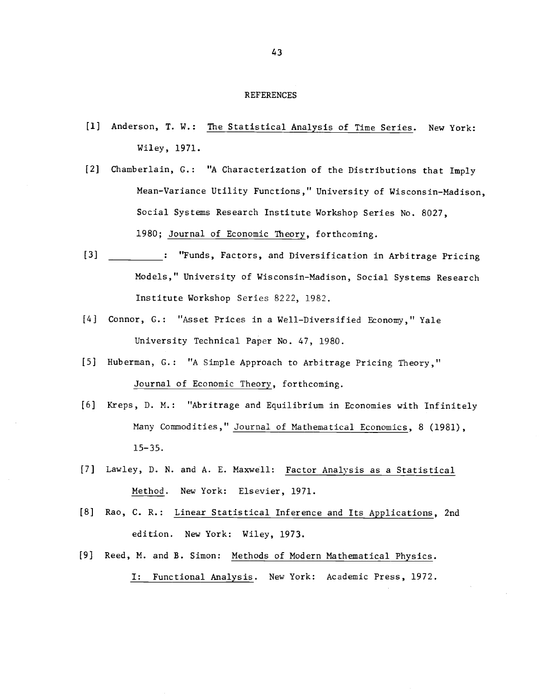#### REFERENCES

- [1] Anderson, T. W.: The Statistical Analysis of Time Series. New York: Wiley, 1971.
- [2] Chamberlain, C.: "A Characterization of the Distributions that Imply Mean—Variance Utility Functions," University of Wisconsin—Madison, Social Systems Research Institute Workshop Series No. 8027, 1980; Journal of Economic Theory, forthcoming.
- [3]  $\blacksquare$ : "Funds, Factors, and Diversification in Arbitrage Pricing Models," University of Wisconsin—Madison, Social Systems Research Institute Workshop Series 8222, 1982.
- [4] Connor, G.: "Asset Prices in a Well—Diversified Economy," Yale University Technical Paper No. 47, 1980.
- [5] Huberman, G.: "A Simple Approach to Arbitrage Pricing Theory," Journal of Economic Theory, forthcoming.
- [6] Kreps, D. N.: "Abritrage and Equilibrium in Economies with Infinitely Many Commodities," Journal of Mathematical Economics, 8 (1981), 15—35.
- [7] Lawley, D. N. and A. E. Maxwell: Factor Analysis as a Statistical Method. New York: Elsevier, 1971.
- [8] Rao, C. R.: Linear Statistical Inference and Its Applications, 2nd edition. New York: Wiley, 1973.
- [9] Reed, M. and B. Simon: Methods of Modern Mathematical Physics. I: Functional Analysis. New York: Academic Press, 1972.